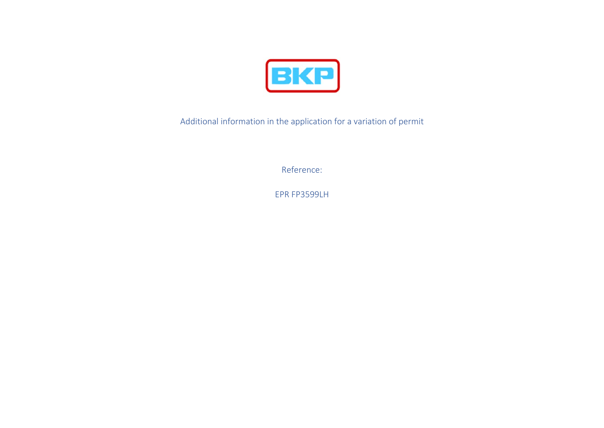

Additional information in the application for a variation of permit

Reference:

EPR FP3599LH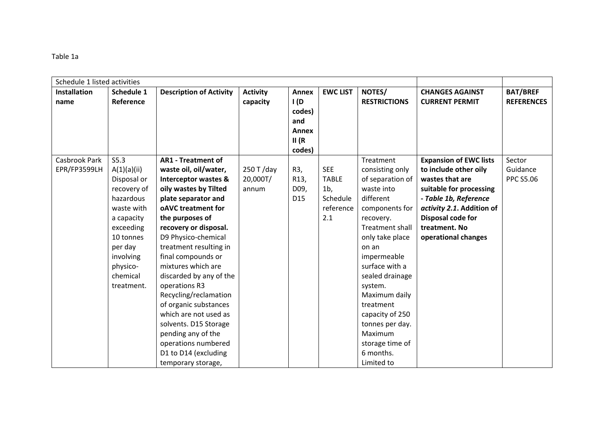| Table 1a |  |
|----------|--|
|----------|--|

| Schedule 1 listed activities |             |                                 |                 |                                                          |                 |                        |                               |                   |
|------------------------------|-------------|---------------------------------|-----------------|----------------------------------------------------------|-----------------|------------------------|-------------------------------|-------------------|
| <b>Installation</b>          | Schedule 1  | <b>Description of Activity</b>  | <b>Activity</b> | <b>Annex</b>                                             | <b>EWC LIST</b> | NOTES/                 | <b>CHANGES AGAINST</b>        | <b>BAT/BREF</b>   |
| name                         | Reference   |                                 | capacity        | I(D)<br>codes)<br>and<br><b>Annex</b><br>II(R)<br>codes) |                 | <b>RESTRICTIONS</b>    | <b>CURRENT PERMIT</b>         | <b>REFERENCES</b> |
| Casbrook Park                | S5.3        | <b>AR1 - Treatment of</b>       |                 |                                                          |                 | Treatment              | <b>Expansion of EWC lists</b> | Sector            |
| EPR/FP3599LH                 | A(1)(a)(ii) | waste oil, oil/water,           | $250$ T/day     | R3,                                                      | <b>SEE</b>      | consisting only        | to include other oily         | Guidance          |
|                              | Disposal or | <b>Interceptor wastes &amp;</b> | 20,000T/        | R13,                                                     | <b>TABLE</b>    | of separation of       | wastes that are               | <b>PPC S5.06</b>  |
|                              | recovery of | oily wastes by Tilted           | annum           | D09,                                                     | 1 <sub>b</sub>  | waste into             | suitable for processing       |                   |
|                              | hazardous   | plate separator and             |                 | D <sub>15</sub>                                          | Schedule        | different              | - Table 1b, Reference         |                   |
|                              | waste with  | oAVC treatment for              |                 |                                                          | reference       | components for         | activity 2.1. Addition of     |                   |
|                              | a capacity  | the purposes of                 |                 |                                                          | 2.1             | recovery.              | Disposal code for             |                   |
|                              | exceeding   | recovery or disposal.           |                 |                                                          |                 | <b>Treatment shall</b> | treatment. No                 |                   |
|                              | 10 tonnes   | D9 Physico-chemical             |                 |                                                          |                 | only take place        | operational changes           |                   |
|                              | per day     | treatment resulting in          |                 |                                                          |                 | on an                  |                               |                   |
|                              | involving   | final compounds or              |                 |                                                          |                 | impermeable            |                               |                   |
|                              | physico-    | mixtures which are              |                 |                                                          |                 | surface with a         |                               |                   |
|                              | chemical    | discarded by any of the         |                 |                                                          |                 | sealed drainage        |                               |                   |
|                              | treatment.  | operations R3                   |                 |                                                          |                 | system.                |                               |                   |
|                              |             | Recycling/reclamation           |                 |                                                          |                 | Maximum daily          |                               |                   |
|                              |             | of organic substances           |                 |                                                          |                 | treatment              |                               |                   |
|                              |             | which are not used as           |                 |                                                          |                 | capacity of 250        |                               |                   |
|                              |             | solvents. D15 Storage           |                 |                                                          |                 | tonnes per day.        |                               |                   |
|                              |             | pending any of the              |                 |                                                          |                 | Maximum                |                               |                   |
|                              |             | operations numbered             |                 |                                                          |                 | storage time of        |                               |                   |
|                              |             | D1 to D14 (excluding            |                 |                                                          |                 | 6 months.              |                               |                   |
|                              |             | temporary storage,              |                 |                                                          |                 | Limited to             |                               |                   |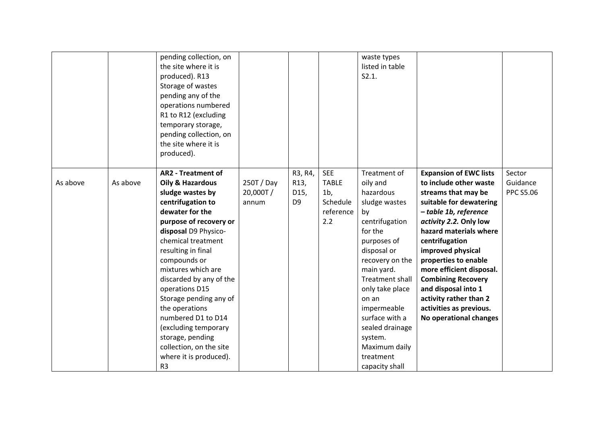|          |          | pending collection, on<br>the site where it is<br>produced). R13<br>Storage of wastes<br>pending any of the<br>operations numbered<br>R1 to R12 (excluding<br>temporary storage,<br>pending collection, on<br>the site where it is<br>produced).                                                                                                                                                                                                                                |                                 |                                                      |                                                                              | waste types<br>listed in table<br>S2.1.                                                                                                                                                                                                                                                                                       |                                                                                                                                                                                                                                                                                                                                                                                                                      |                                        |
|----------|----------|---------------------------------------------------------------------------------------------------------------------------------------------------------------------------------------------------------------------------------------------------------------------------------------------------------------------------------------------------------------------------------------------------------------------------------------------------------------------------------|---------------------------------|------------------------------------------------------|------------------------------------------------------------------------------|-------------------------------------------------------------------------------------------------------------------------------------------------------------------------------------------------------------------------------------------------------------------------------------------------------------------------------|----------------------------------------------------------------------------------------------------------------------------------------------------------------------------------------------------------------------------------------------------------------------------------------------------------------------------------------------------------------------------------------------------------------------|----------------------------------------|
| As above | As above | <b>AR2 - Treatment of</b><br>Oily & Hazardous<br>sludge wastes by<br>centrifugation to<br>dewater for the<br>purpose of recovery or<br>disposal D9 Physico-<br>chemical treatment<br>resulting in final<br>compounds or<br>mixtures which are<br>discarded by any of the<br>operations D15<br>Storage pending any of<br>the operations<br>numbered D1 to D14<br>(excluding temporary<br>storage, pending<br>collection, on the site<br>where it is produced).<br>R <sub>3</sub> | 250T / Day<br>20,000T/<br>annum | R3, R4,<br>R <sub>13</sub><br>D15,<br>D <sub>9</sub> | <b>SEE</b><br><b>TABLE</b><br>1 <sub>b</sub><br>Schedule<br>reference<br>2.2 | Treatment of<br>oily and<br>hazardous<br>sludge wastes<br>by<br>centrifugation<br>for the<br>purposes of<br>disposal or<br>recovery on the<br>main yard.<br><b>Treatment shall</b><br>only take place<br>on an<br>impermeable<br>surface with a<br>sealed drainage<br>system.<br>Maximum daily<br>treatment<br>capacity shall | <b>Expansion of EWC lists</b><br>to include other waste<br>streams that may be<br>suitable for dewatering<br>- table 1b, reference<br>activity 2.2. Only low<br>hazard materials where<br>centrifugation<br>improved physical<br>properties to enable<br>more efficient disposal.<br><b>Combining Recovery</b><br>and disposal into 1<br>activity rather than 2<br>activities as previous.<br>No operational changes | Sector<br>Guidance<br><b>PPC S5.06</b> |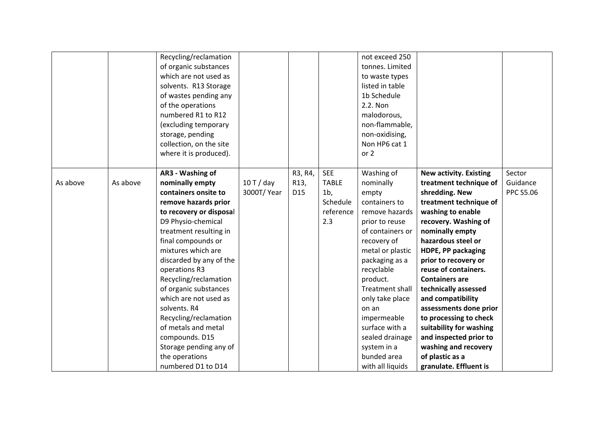|          |          | Recycling/reclamation   |             |         |                | not exceed 250   |                               |                  |
|----------|----------|-------------------------|-------------|---------|----------------|------------------|-------------------------------|------------------|
|          |          | of organic substances   |             |         |                | tonnes. Limited  |                               |                  |
|          |          | which are not used as   |             |         |                | to waste types   |                               |                  |
|          |          | solvents. R13 Storage   |             |         |                | listed in table  |                               |                  |
|          |          | of wastes pending any   |             |         |                | 1b Schedule      |                               |                  |
|          |          | of the operations       |             |         |                | 2.2. Non         |                               |                  |
|          |          | numbered R1 to R12      |             |         |                | malodorous,      |                               |                  |
|          |          | (excluding temporary    |             |         |                | non-flammable,   |                               |                  |
|          |          | storage, pending        |             |         |                | non-oxidising,   |                               |                  |
|          |          | collection, on the site |             |         |                | Non HP6 cat 1    |                               |                  |
|          |          | where it is produced).  |             |         |                | or 2             |                               |                  |
|          |          |                         |             |         |                |                  |                               |                  |
|          |          | AR3 - Washing of        |             | R3, R4, | <b>SEE</b>     | Washing of       | <b>New activity. Existing</b> | Sector           |
| As above | As above | nominally empty         | $10T$ / day | R13,    | <b>TABLE</b>   | nominally        | treatment technique of        | Guidance         |
|          |          | containers onsite to    | 3000T/Year  | D15     | 1 <sub>b</sub> | empty            | shredding. New                | <b>PPC S5.06</b> |
|          |          | remove hazards prior    |             |         | Schedule       | containers to    | treatment technique of        |                  |
|          |          | to recovery or disposal |             |         | reference      | remove hazards   | washing to enable             |                  |
|          |          | D9 Physio-chemical      |             |         | 2.3            | prior to reuse   | recovery. Washing of          |                  |
|          |          | treatment resulting in  |             |         |                | of containers or | nominally empty               |                  |
|          |          | final compounds or      |             |         |                | recovery of      | hazardous steel or            |                  |
|          |          | mixtures which are      |             |         |                | metal or plastic | HDPE, PP packaging            |                  |
|          |          | discarded by any of the |             |         |                | packaging as a   | prior to recovery or          |                  |
|          |          | operations R3           |             |         |                | recyclable       | reuse of containers.          |                  |
|          |          | Recycling/reclamation   |             |         |                | product.         | <b>Containers are</b>         |                  |
|          |          | of organic substances   |             |         |                | Treatment shall  | technically assessed          |                  |
|          |          | which are not used as   |             |         |                | only take place  | and compatibility             |                  |
|          |          | solvents. R4            |             |         |                | on an            | assessments done prior        |                  |
|          |          | Recycling/reclamation   |             |         |                | impermeable      | to processing to check        |                  |
|          |          | of metals and metal     |             |         |                | surface with a   | suitability for washing       |                  |
|          |          | compounds. D15          |             |         |                | sealed drainage  | and inspected prior to        |                  |
|          |          | Storage pending any of  |             |         |                | system in a      | washing and recovery          |                  |
|          |          | the operations          |             |         |                | bunded area      | of plastic as a               |                  |
|          |          | numbered D1 to D14      |             |         |                | with all liquids | granulate. Effluent is        |                  |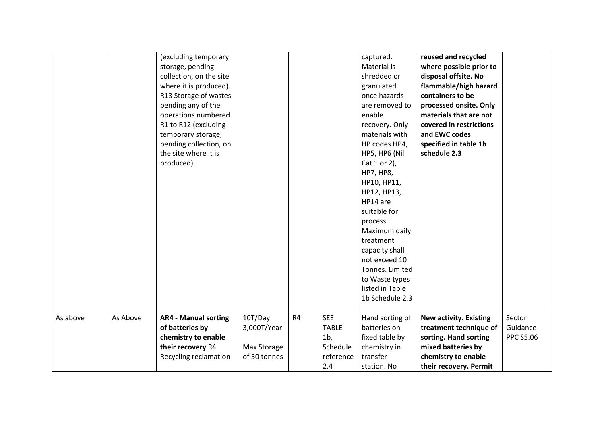|          |          | (excluding temporary        |              |    |                | captured.        | reused and recycled           |                  |
|----------|----------|-----------------------------|--------------|----|----------------|------------------|-------------------------------|------------------|
|          |          | storage, pending            |              |    |                | Material is      | where possible prior to       |                  |
|          |          | collection, on the site     |              |    |                | shredded or      | disposal offsite. No          |                  |
|          |          | where it is produced).      |              |    |                | granulated       | flammable/high hazard         |                  |
|          |          | R13 Storage of wastes       |              |    |                | once hazards     | containers to be              |                  |
|          |          | pending any of the          |              |    |                | are removed to   | processed onsite. Only        |                  |
|          |          | operations numbered         |              |    |                | enable           | materials that are not        |                  |
|          |          | R1 to R12 (excluding        |              |    |                | recovery. Only   | covered in restrictions       |                  |
|          |          | temporary storage,          |              |    |                | materials with   | and EWC codes                 |                  |
|          |          | pending collection, on      |              |    |                | HP codes HP4,    | specified in table 1b         |                  |
|          |          | the site where it is        |              |    |                | HP5, HP6 (Nil    | schedule 2.3                  |                  |
|          |          | produced).                  |              |    |                | Cat 1 or 2),     |                               |                  |
|          |          |                             |              |    |                | <b>HP7, HP8,</b> |                               |                  |
|          |          |                             |              |    |                | HP10, HP11,      |                               |                  |
|          |          |                             |              |    |                | HP12, HP13,      |                               |                  |
|          |          |                             |              |    |                | HP14 are         |                               |                  |
|          |          |                             |              |    |                | suitable for     |                               |                  |
|          |          |                             |              |    |                | process.         |                               |                  |
|          |          |                             |              |    |                | Maximum daily    |                               |                  |
|          |          |                             |              |    |                | treatment        |                               |                  |
|          |          |                             |              |    |                | capacity shall   |                               |                  |
|          |          |                             |              |    |                | not exceed 10    |                               |                  |
|          |          |                             |              |    |                | Tonnes. Limited  |                               |                  |
|          |          |                             |              |    |                | to Waste types   |                               |                  |
|          |          |                             |              |    |                | listed in Table  |                               |                  |
|          |          |                             |              |    |                | 1b Schedule 2.3  |                               |                  |
|          |          |                             |              |    |                |                  |                               |                  |
| As above | As Above | <b>AR4 - Manual sorting</b> | 10T/Day      | R4 | <b>SEE</b>     | Hand sorting of  | <b>New activity. Existing</b> | Sector           |
|          |          | of batteries by             | 3,000T/Year  |    | <b>TABLE</b>   | batteries on     | treatment technique of        | Guidance         |
|          |          | chemistry to enable         |              |    | 1 <sub>b</sub> | fixed table by   | sorting. Hand sorting         | <b>PPC S5.06</b> |
|          |          | their recovery R4           | Max Storage  |    | Schedule       | chemistry in     | mixed batteries by            |                  |
|          |          | Recycling reclamation       | of 50 tonnes |    | reference      | transfer         | chemistry to enable           |                  |
|          |          |                             |              |    | 2.4            | station. No      | their recovery. Permit        |                  |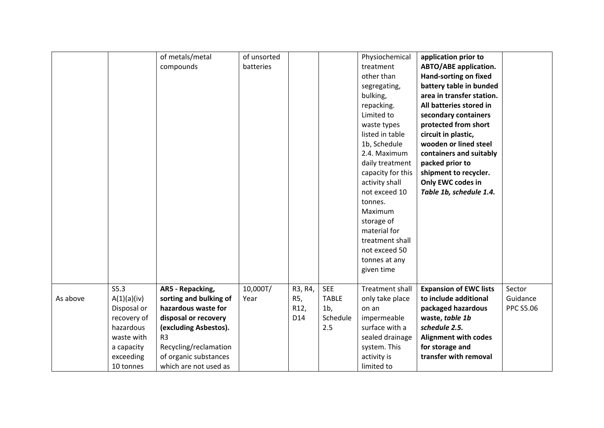|          |                                                                                                                      | of metals/metal<br>compounds                                                                                                                                                                                    | of unsorted<br>batteries |                               |                                                                 | Physiochemical<br>treatment<br>other than<br>segregating,<br>bulking,<br>repacking.<br>Limited to<br>waste types<br>listed in table<br>1b, Schedule<br>2.4. Maximum<br>daily treatment<br>capacity for this<br>activity shall<br>not exceed 10<br>tonnes.<br>Maximum<br>storage of<br>material for | application prior to<br><b>ABTO/ABE application.</b><br>Hand-sorting on fixed<br>battery table in bunded<br>area in transfer station.<br>All batteries stored in<br>secondary containers<br>protected from short<br>circuit in plastic,<br>wooden or lined steel<br>containers and suitably<br>packed prior to<br>shipment to recycler.<br>Only EWC codes in<br>Table 1b, schedule 1.4. |                                        |
|----------|----------------------------------------------------------------------------------------------------------------------|-----------------------------------------------------------------------------------------------------------------------------------------------------------------------------------------------------------------|--------------------------|-------------------------------|-----------------------------------------------------------------|----------------------------------------------------------------------------------------------------------------------------------------------------------------------------------------------------------------------------------------------------------------------------------------------------|-----------------------------------------------------------------------------------------------------------------------------------------------------------------------------------------------------------------------------------------------------------------------------------------------------------------------------------------------------------------------------------------|----------------------------------------|
|          |                                                                                                                      |                                                                                                                                                                                                                 |                          |                               |                                                                 | not exceed 50<br>tonnes at any<br>given time                                                                                                                                                                                                                                                       |                                                                                                                                                                                                                                                                                                                                                                                         |                                        |
| As above | S5.3<br>A(1)(a)(iv)<br>Disposal or<br>recovery of<br>hazardous<br>waste with<br>a capacity<br>exceeding<br>10 tonnes | AR5 - Repacking,<br>sorting and bulking of<br>hazardous waste for<br>disposal or recovery<br>(excluding Asbestos).<br>R <sub>3</sub><br>Recycling/reclamation<br>of organic substances<br>which are not used as | 10,000T/<br>Year         | R3, R4,<br>R5,<br>R12,<br>D14 | <b>SEE</b><br><b>TABLE</b><br>1 <sub>b</sub><br>Schedule<br>2.5 | Treatment shall<br>only take place<br>on an<br>impermeable<br>surface with a<br>sealed drainage<br>system. This<br>activity is<br>limited to                                                                                                                                                       | <b>Expansion of EWC lists</b><br>to include additional<br>packaged hazardous<br>waste, table 1b<br>schedule 2.5.<br><b>Alignment with codes</b><br>for storage and<br>transfer with removal                                                                                                                                                                                             | Sector<br>Guidance<br><b>PPC S5.06</b> |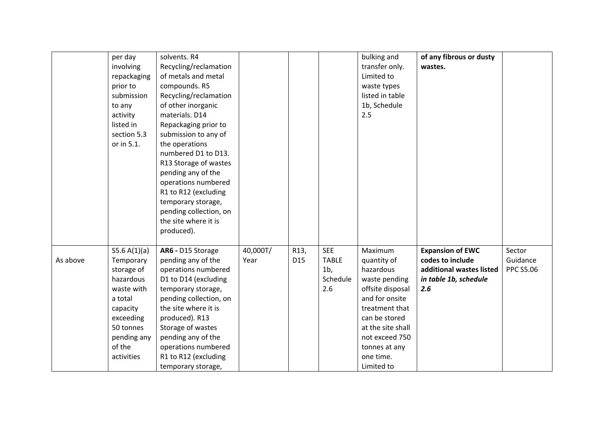|          | per day<br>involving<br>repackaging<br>prior to<br>submission<br>to any<br>activity<br>listed in<br>section 5.3<br>or in 5.1.                              | solvents. R4<br>Recycling/reclamation<br>of metals and metal<br>compounds. R5<br>Recycling/reclamation<br>of other inorganic<br>materials. D14<br>Repackaging prior to<br>submission to any of<br>the operations<br>numbered D1 to D13.<br>R13 Storage of wastes<br>pending any of the<br>operations numbered<br>R1 to R12 (excluding<br>temporary storage,<br>pending collection, on<br>the site where it is<br>produced). |                  |                                    |                                                                 | bulking and<br>transfer only.<br>Limited to<br>waste types<br>listed in table<br>1b, Schedule<br>2.5                                                                                                             | of any fibrous or dusty<br>wastes.                                                                      |                                        |
|----------|------------------------------------------------------------------------------------------------------------------------------------------------------------|-----------------------------------------------------------------------------------------------------------------------------------------------------------------------------------------------------------------------------------------------------------------------------------------------------------------------------------------------------------------------------------------------------------------------------|------------------|------------------------------------|-----------------------------------------------------------------|------------------------------------------------------------------------------------------------------------------------------------------------------------------------------------------------------------------|---------------------------------------------------------------------------------------------------------|----------------------------------------|
| As above | S5.6 A(1)(a)<br>Temporary<br>storage of<br>hazardous<br>waste with<br>a total<br>capacity<br>exceeding<br>50 tonnes<br>pending any<br>of the<br>activities | AR6 - D15 Storage<br>pending any of the<br>operations numbered<br>D1 to D14 (excluding<br>temporary storage,<br>pending collection, on<br>the site where it is<br>produced). R13<br>Storage of wastes<br>pending any of the<br>operations numbered<br>R1 to R12 (excluding<br>temporary storage,                                                                                                                            | 40,000T/<br>Year | R <sub>13</sub><br>D <sub>15</sub> | <b>SEE</b><br><b>TABLE</b><br>1 <sub>b</sub><br>Schedule<br>2.6 | Maximum<br>quantity of<br>hazardous<br>waste pending<br>offsite disposal<br>and for onsite<br>treatment that<br>can be stored<br>at the site shall<br>not exceed 750<br>tonnes at any<br>one time.<br>Limited to | <b>Expansion of EWC</b><br>codes to include<br>additional wastes listed<br>in table 1b, schedule<br>2.6 | Sector<br>Guidance<br><b>PPC S5.06</b> |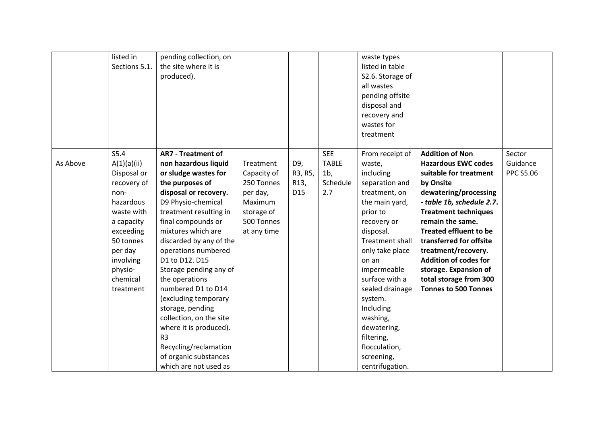|          | listed in<br>Sections 5.1. | pending collection, on<br>the site where it is<br>produced). |             |                   |                | waste types<br>listed in table<br>S2.6. Storage of<br>all wastes<br>pending offsite<br>disposal and<br>recovery and<br>wastes for<br>treatment |                               |                  |
|----------|----------------------------|--------------------------------------------------------------|-------------|-------------------|----------------|------------------------------------------------------------------------------------------------------------------------------------------------|-------------------------------|------------------|
|          | S5.4                       | <b>AR7 - Treatment of</b>                                    |             |                   | <b>SEE</b>     | From receipt of                                                                                                                                | <b>Addition of Non</b>        | Sector           |
| As Above | A(1)(a)(ii)                | non hazardous liquid                                         | Treatment   | D9,               | <b>TABLE</b>   | waste,                                                                                                                                         | <b>Hazardous EWC codes</b>    | Guidance         |
|          | Disposal or                | or sludge wastes for                                         | Capacity of | R3, R5,           | 1 <sub>b</sub> | including                                                                                                                                      | suitable for treatment        | <b>PPC S5.06</b> |
|          | recovery of                | the purposes of                                              | 250 Tonnes  | R <sub>13</sub> , | Schedule       | separation and                                                                                                                                 | by Onsite                     |                  |
|          | non-                       | disposal or recovery.                                        | per day,    | D <sub>15</sub>   | 2.7            | treatment, on                                                                                                                                  | dewatering/processing         |                  |
|          | hazardous                  | D9 Physio-chemical                                           | Maximum     |                   |                | the main yard,                                                                                                                                 | - table 1b, schedule 2.7.     |                  |
|          | waste with                 | treatment resulting in                                       | storage of  |                   |                | prior to                                                                                                                                       | <b>Treatment techniques</b>   |                  |
|          | a capacity                 | final compounds or                                           | 500 Tonnes  |                   |                | recovery or                                                                                                                                    | remain the same.              |                  |
|          | exceeding                  | mixtures which are                                           | at any time |                   |                | disposal.                                                                                                                                      | <b>Treated effluent to be</b> |                  |
|          | 50 tonnes                  | discarded by any of the                                      |             |                   |                | Treatment shall                                                                                                                                | transferred for offsite       |                  |
|          | per day                    | operations numbered                                          |             |                   |                | only take place                                                                                                                                | treatment/recovery.           |                  |
|          | involving                  | D1 to D12. D15                                               |             |                   |                | on an                                                                                                                                          | <b>Addition of codes for</b>  |                  |
|          | physio-                    | Storage pending any of                                       |             |                   |                | impermeable                                                                                                                                    | storage. Expansion of         |                  |
|          | chemical                   | the operations                                               |             |                   |                | surface with a                                                                                                                                 | total storage from 300        |                  |
|          | treatment                  | numbered D1 to D14                                           |             |                   |                | sealed drainage                                                                                                                                | <b>Tonnes to 500 Tonnes</b>   |                  |
|          |                            | (excluding temporary                                         |             |                   |                | system.                                                                                                                                        |                               |                  |
|          |                            | storage, pending                                             |             |                   |                | Including                                                                                                                                      |                               |                  |
|          |                            | collection, on the site                                      |             |                   |                | washing,                                                                                                                                       |                               |                  |
|          |                            | where it is produced).                                       |             |                   |                | dewatering,                                                                                                                                    |                               |                  |
|          |                            | R <sub>3</sub>                                               |             |                   |                | filtering,                                                                                                                                     |                               |                  |
|          |                            | Recycling/reclamation                                        |             |                   |                | flocculation,                                                                                                                                  |                               |                  |
|          |                            | of organic substances                                        |             |                   |                | screening,                                                                                                                                     |                               |                  |
|          |                            | which are not used as                                        |             |                   |                | centrifugation.                                                                                                                                |                               |                  |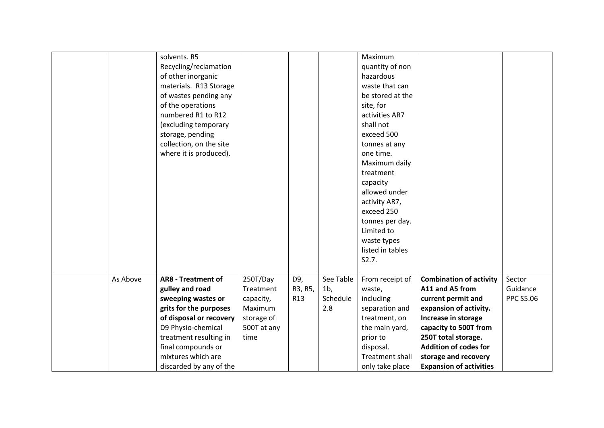|          | solvents. R5              |             |                 |                | Maximum                |                                |                  |
|----------|---------------------------|-------------|-----------------|----------------|------------------------|--------------------------------|------------------|
|          | Recycling/reclamation     |             |                 |                | quantity of non        |                                |                  |
|          | of other inorganic        |             |                 |                | hazardous              |                                |                  |
|          | materials. R13 Storage    |             |                 |                | waste that can         |                                |                  |
|          | of wastes pending any     |             |                 |                | be stored at the       |                                |                  |
|          | of the operations         |             |                 |                | site, for              |                                |                  |
|          | numbered R1 to R12        |             |                 |                | activities AR7         |                                |                  |
|          | (excluding temporary      |             |                 |                | shall not              |                                |                  |
|          | storage, pending          |             |                 |                | exceed 500             |                                |                  |
|          | collection, on the site   |             |                 |                | tonnes at any          |                                |                  |
|          | where it is produced).    |             |                 |                | one time.              |                                |                  |
|          |                           |             |                 |                | Maximum daily          |                                |                  |
|          |                           |             |                 |                | treatment              |                                |                  |
|          |                           |             |                 |                | capacity               |                                |                  |
|          |                           |             |                 |                | allowed under          |                                |                  |
|          |                           |             |                 |                | activity AR7,          |                                |                  |
|          |                           |             |                 |                | exceed 250             |                                |                  |
|          |                           |             |                 |                | tonnes per day.        |                                |                  |
|          |                           |             |                 |                | Limited to             |                                |                  |
|          |                           |             |                 |                | waste types            |                                |                  |
|          |                           |             |                 |                | listed in tables       |                                |                  |
|          |                           |             |                 |                | S2.7.                  |                                |                  |
|          |                           |             |                 |                |                        |                                |                  |
| As Above | <b>AR8 - Treatment of</b> | 250T/Day    | D9,             | See Table      | From receipt of        | <b>Combination of activity</b> | Sector           |
|          | gulley and road           | Treatment   | R3, R5,         | 1 <sub>b</sub> | waste,                 | A11 and A5 from                | Guidance         |
|          | sweeping wastes or        | capacity,   | R <sub>13</sub> | Schedule       | including              | current permit and             | <b>PPC S5.06</b> |
|          | grits for the purposes    | Maximum     |                 | 2.8            | separation and         | expansion of activity.         |                  |
|          | of disposal or recovery   | storage of  |                 |                | treatment, on          | Increase in storage            |                  |
|          | D9 Physio-chemical        | 500T at any |                 |                | the main yard,         | capacity to 500T from          |                  |
|          | treatment resulting in    | time        |                 |                | prior to               | 250T total storage.            |                  |
|          | final compounds or        |             |                 |                | disposal.              | <b>Addition of codes for</b>   |                  |
|          | mixtures which are        |             |                 |                | <b>Treatment shall</b> | storage and recovery           |                  |
|          | discarded by any of the   |             |                 |                | only take place        | <b>Expansion of activities</b> |                  |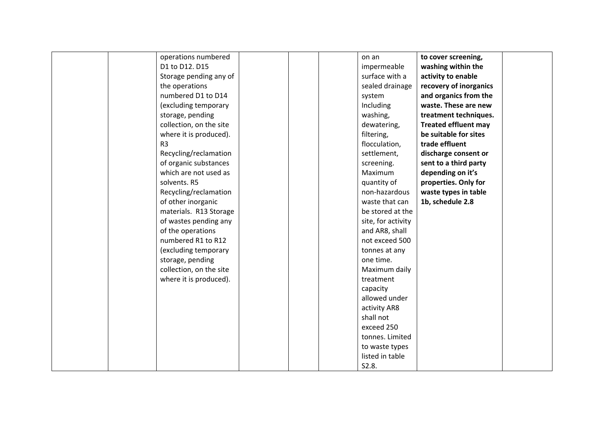| operations numbered     | on an              | to cover screening,         |  |
|-------------------------|--------------------|-----------------------------|--|
| D1 to D12. D15          | impermeable        | washing within the          |  |
| Storage pending any of  | surface with a     | activity to enable          |  |
| the operations          | sealed drainage    | recovery of inorganics      |  |
| numbered D1 to D14      | system             | and organics from the       |  |
| (excluding temporary    | Including          | waste. These are new        |  |
| storage, pending        | washing,           | treatment techniques.       |  |
| collection, on the site | dewatering,        | <b>Treated effluent may</b> |  |
| where it is produced).  | filtering,         | be suitable for sites       |  |
| R <sub>3</sub>          | flocculation,      | trade effluent              |  |
| Recycling/reclamation   | settlement,        | discharge consent or        |  |
| of organic substances   | screening.         | sent to a third party       |  |
| which are not used as   | Maximum            | depending on it's           |  |
| solvents. R5            | quantity of        | properties. Only for        |  |
| Recycling/reclamation   | non-hazardous      | waste types in table        |  |
| of other inorganic      | waste that can     | 1b, schedule 2.8            |  |
| materials. R13 Storage  | be stored at the   |                             |  |
| of wastes pending any   | site, for activity |                             |  |
| of the operations       | and AR8, shall     |                             |  |
| numbered R1 to R12      | not exceed 500     |                             |  |
| (excluding temporary    | tonnes at any      |                             |  |
| storage, pending        | one time.          |                             |  |
| collection, on the site | Maximum daily      |                             |  |
| where it is produced).  | treatment          |                             |  |
|                         | capacity           |                             |  |
|                         | allowed under      |                             |  |
|                         | activity AR8       |                             |  |
|                         | shall not          |                             |  |
|                         | exceed 250         |                             |  |
|                         | tonnes. Limited    |                             |  |
|                         | to waste types     |                             |  |
|                         | listed in table    |                             |  |
|                         | S2.8.              |                             |  |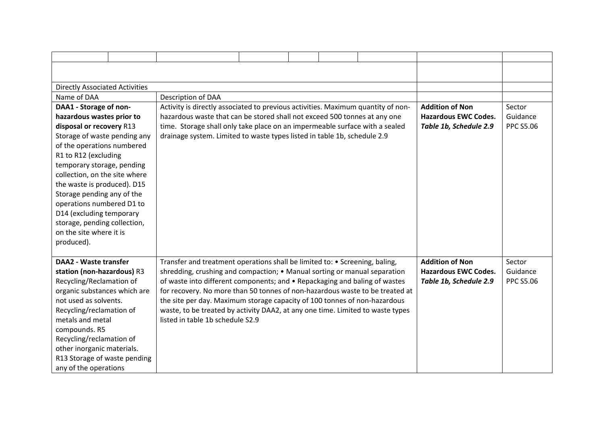| <b>Directly Associated Activities</b> |                                                                                  |  |  |                             |                  |
|---------------------------------------|----------------------------------------------------------------------------------|--|--|-----------------------------|------------------|
| Name of DAA                           | Description of DAA                                                               |  |  |                             |                  |
| DAA1 - Storage of non-                | Activity is directly associated to previous activities. Maximum quantity of non- |  |  | <b>Addition of Non</b>      | Sector           |
| hazardous wastes prior to             | hazardous waste that can be stored shall not exceed 500 tonnes at any one        |  |  | <b>Hazardous EWC Codes.</b> | Guidance         |
| disposal or recovery R13              | time. Storage shall only take place on an impermeable surface with a sealed      |  |  | Table 1b, Schedule 2.9      | <b>PPC S5.06</b> |
| Storage of waste pending any          | drainage system. Limited to waste types listed in table 1b, schedule 2.9         |  |  |                             |                  |
| of the operations numbered            |                                                                                  |  |  |                             |                  |
| R1 to R12 (excluding                  |                                                                                  |  |  |                             |                  |
| temporary storage, pending            |                                                                                  |  |  |                             |                  |
| collection, on the site where         |                                                                                  |  |  |                             |                  |
| the waste is produced). D15           |                                                                                  |  |  |                             |                  |
| Storage pending any of the            |                                                                                  |  |  |                             |                  |
| operations numbered D1 to             |                                                                                  |  |  |                             |                  |
| D14 (excluding temporary              |                                                                                  |  |  |                             |                  |
| storage, pending collection,          |                                                                                  |  |  |                             |                  |
| on the site where it is               |                                                                                  |  |  |                             |                  |
| produced).                            |                                                                                  |  |  |                             |                  |
|                                       |                                                                                  |  |  |                             |                  |
| <b>DAA2 - Waste transfer</b>          | Transfer and treatment operations shall be limited to: • Screening, baling,      |  |  | <b>Addition of Non</b>      | Sector           |
| station (non-hazardous) R3            | shredding, crushing and compaction; • Manual sorting or manual separation        |  |  | <b>Hazardous EWC Codes.</b> | Guidance         |
| Recycling/Reclamation of              | of waste into different components; and • Repackaging and baling of wastes       |  |  | Table 1b, Schedule 2.9      | <b>PPC S5.06</b> |
| organic substances which are          | for recovery. No more than 50 tonnes of non-hazardous waste to be treated at     |  |  |                             |                  |
| not used as solvents.                 | the site per day. Maximum storage capacity of 100 tonnes of non-hazardous        |  |  |                             |                  |
| Recycling/reclamation of              | waste, to be treated by activity DAA2, at any one time. Limited to waste types   |  |  |                             |                  |
| metals and metal                      | listed in table 1b schedule S2.9                                                 |  |  |                             |                  |
| compounds. R5                         |                                                                                  |  |  |                             |                  |
| Recycling/reclamation of              |                                                                                  |  |  |                             |                  |
| other inorganic materials.            |                                                                                  |  |  |                             |                  |
| R13 Storage of waste pending          |                                                                                  |  |  |                             |                  |
| any of the operations                 |                                                                                  |  |  |                             |                  |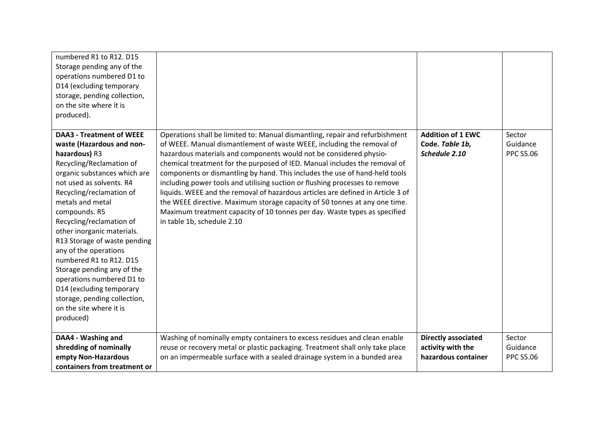| numbered R1 to R12. D15<br>Storage pending any of the<br>operations numbered D1 to<br>D14 (excluding temporary<br>storage, pending collection,<br>on the site where it is<br>produced).                                                                                                                                                                                                                                                                                                                                                             |                                                                                                                                                                                                                                                                                                                                                                                                                                                                                                                                                                                                                                                                                                                                                     |                                                                        |                                        |
|-----------------------------------------------------------------------------------------------------------------------------------------------------------------------------------------------------------------------------------------------------------------------------------------------------------------------------------------------------------------------------------------------------------------------------------------------------------------------------------------------------------------------------------------------------|-----------------------------------------------------------------------------------------------------------------------------------------------------------------------------------------------------------------------------------------------------------------------------------------------------------------------------------------------------------------------------------------------------------------------------------------------------------------------------------------------------------------------------------------------------------------------------------------------------------------------------------------------------------------------------------------------------------------------------------------------------|------------------------------------------------------------------------|----------------------------------------|
| <b>DAA3 - Treatment of WEEE</b><br>waste (Hazardous and non-<br>hazardous) R3<br>Recycling/Reclamation of<br>organic substances which are<br>not used as solvents. R4<br>Recycling/reclamation of<br>metals and metal<br>compounds. R5<br>Recycling/reclamation of<br>other inorganic materials.<br>R13 Storage of waste pending<br>any of the operations<br>numbered R1 to R12. D15<br>Storage pending any of the<br>operations numbered D1 to<br>D14 (excluding temporary<br>storage, pending collection,<br>on the site where it is<br>produced) | Operations shall be limited to: Manual dismantling, repair and refurbishment<br>of WEEE. Manual dismantlement of waste WEEE, including the removal of<br>hazardous materials and components would not be considered physio-<br>chemical treatment for the purposed of IED. Manual includes the removal of<br>components or dismantling by hand. This includes the use of hand-held tools<br>including power tools and utilising suction or flushing processes to remove<br>liquids. WEEE and the removal of hazardous articles are defined in Article 3 of<br>the WEEE directive. Maximum storage capacity of 50 tonnes at any one time.<br>Maximum treatment capacity of 10 tonnes per day. Waste types as specified<br>in table 1b, schedule 2.10 | <b>Addition of 1 EWC</b><br>Code. Table 1b,<br>Schedule 2.10           | Sector<br>Guidance<br><b>PPC S5.06</b> |
| DAA4 - Washing and<br>shredding of nominally<br>empty Non-Hazardous<br>containers from treatment or                                                                                                                                                                                                                                                                                                                                                                                                                                                 | Washing of nominally empty containers to excess residues and clean enable<br>reuse or recovery metal or plastic packaging. Treatment shall only take place<br>on an impermeable surface with a sealed drainage system in a bunded area                                                                                                                                                                                                                                                                                                                                                                                                                                                                                                              | <b>Directly associated</b><br>activity with the<br>hazardous container | Sector<br>Guidance<br><b>PPC S5.06</b> |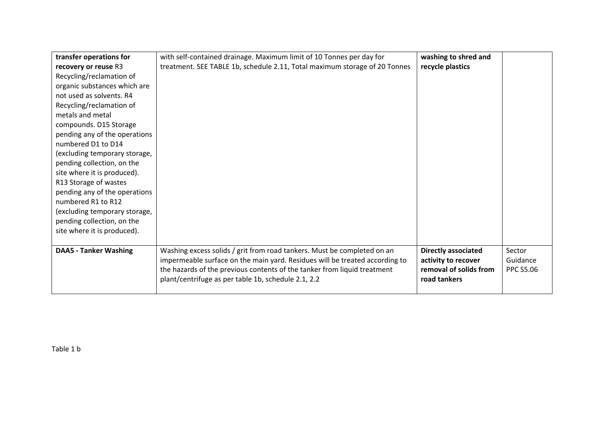| transfer operations for       | with self-contained drainage. Maximum limit of 10 Tonnes per day for        | washing to shred and       |                  |
|-------------------------------|-----------------------------------------------------------------------------|----------------------------|------------------|
| recovery or reuse R3          | treatment. SEE TABLE 1b, schedule 2.11, Total maximum storage of 20 Tonnes  | recycle plastics           |                  |
| Recycling/reclamation of      |                                                                             |                            |                  |
| organic substances which are  |                                                                             |                            |                  |
| not used as solvents. R4      |                                                                             |                            |                  |
| Recycling/reclamation of      |                                                                             |                            |                  |
| metals and metal              |                                                                             |                            |                  |
| compounds. D15 Storage        |                                                                             |                            |                  |
| pending any of the operations |                                                                             |                            |                  |
| numbered D1 to D14            |                                                                             |                            |                  |
| (excluding temporary storage, |                                                                             |                            |                  |
| pending collection, on the    |                                                                             |                            |                  |
| site where it is produced).   |                                                                             |                            |                  |
| R13 Storage of wastes         |                                                                             |                            |                  |
| pending any of the operations |                                                                             |                            |                  |
| numbered R1 to R12            |                                                                             |                            |                  |
| (excluding temporary storage, |                                                                             |                            |                  |
| pending collection, on the    |                                                                             |                            |                  |
| site where it is produced).   |                                                                             |                            |                  |
|                               |                                                                             |                            |                  |
| <b>DAA5 - Tanker Washing</b>  | Washing excess solids / grit from road tankers. Must be completed on an     | <b>Directly associated</b> | Sector           |
|                               | impermeable surface on the main yard. Residues will be treated according to | activity to recover        | Guidance         |
|                               | the hazards of the previous contents of the tanker from liquid treatment    | removal of solids from     | <b>PPC S5.06</b> |
|                               | plant/centrifuge as per table 1b, schedule 2.1, 2.2                         | road tankers               |                  |
|                               |                                                                             |                            |                  |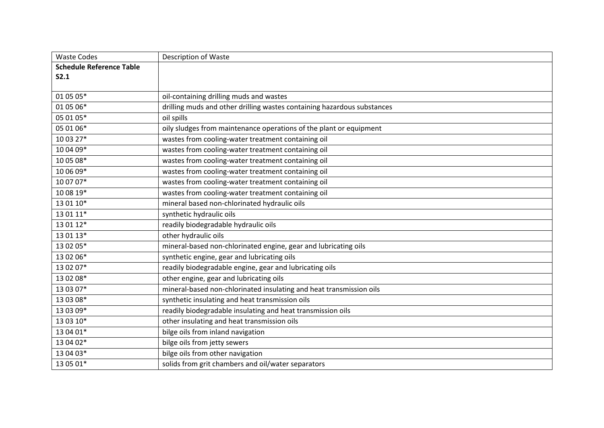| <b>Waste Codes</b>              | <b>Description of Waste</b>                                             |
|---------------------------------|-------------------------------------------------------------------------|
| <b>Schedule Reference Table</b> |                                                                         |
| S2.1                            |                                                                         |
|                                 |                                                                         |
| 01 05 05*                       | oil-containing drilling muds and wastes                                 |
| 01 05 06*                       | drilling muds and other drilling wastes containing hazardous substances |
| 05 01 05*                       | oil spills                                                              |
| 05 01 06*                       | oily sludges from maintenance operations of the plant or equipment      |
| 10 03 27*                       | wastes from cooling-water treatment containing oil                      |
| 10 04 09*                       | wastes from cooling-water treatment containing oil                      |
| 10 05 08*                       | wastes from cooling-water treatment containing oil                      |
| 10 06 09*                       | wastes from cooling-water treatment containing oil                      |
| 10 07 07*                       | wastes from cooling-water treatment containing oil                      |
| 10 08 19*                       | wastes from cooling-water treatment containing oil                      |
| 13 01 10*                       | mineral based non-chlorinated hydraulic oils                            |
| 13 01 11*                       | synthetic hydraulic oils                                                |
| 13 01 12*                       | readily biodegradable hydraulic oils                                    |
| 13 01 13*                       | other hydraulic oils                                                    |
| 13 02 05*                       | mineral-based non-chlorinated engine, gear and lubricating oils         |
| 13 02 06*                       | synthetic engine, gear and lubricating oils                             |
| 13 02 07*                       | readily biodegradable engine, gear and lubricating oils                 |
| 13 02 08*                       | other engine, gear and lubricating oils                                 |
| 13 03 07*                       | mineral-based non-chlorinated insulating and heat transmission oils     |
| 13 03 08*                       | synthetic insulating and heat transmission oils                         |
| 13 03 09*                       | readily biodegradable insulating and heat transmission oils             |
| 13 03 10*                       | other insulating and heat transmission oils                             |
| 13 04 01*                       | bilge oils from inland navigation                                       |
| 13 04 02*                       | bilge oils from jetty sewers                                            |
| 13 04 03*                       | bilge oils from other navigation                                        |
| 13 05 01*                       | solids from grit chambers and oil/water separators                      |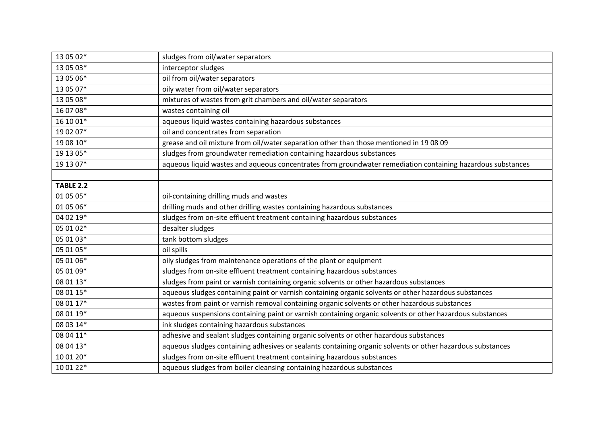| 13 05 02*        | sludges from oil/water separators                                                                           |
|------------------|-------------------------------------------------------------------------------------------------------------|
| 13 05 03*        | interceptor sludges                                                                                         |
| 13 05 06*        | oil from oil/water separators                                                                               |
| 13 05 07*        | oily water from oil/water separators                                                                        |
| 13 05 08*        | mixtures of wastes from grit chambers and oil/water separators                                              |
| 16 07 08*        | wastes containing oil                                                                                       |
| 16 10 01*        | aqueous liquid wastes containing hazardous substances                                                       |
| 19 02 07*        | oil and concentrates from separation                                                                        |
| 19 08 10*        | grease and oil mixture from oil/water separation other than those mentioned in 19 08 09                     |
| 19 13 05*        | sludges from groundwater remediation containing hazardous substances                                        |
| 19 13 07*        | aqueous liquid wastes and aqueous concentrates from groundwater remediation containing hazardous substances |
|                  |                                                                                                             |
| <b>TABLE 2.2</b> |                                                                                                             |
| 01 05 05*        | oil-containing drilling muds and wastes                                                                     |
| 01 05 06*        | drilling muds and other drilling wastes containing hazardous substances                                     |
| 04 02 19*        | sludges from on-site effluent treatment containing hazardous substances                                     |
| 05 01 02*        | desalter sludges                                                                                            |
| 05 01 03*        | tank bottom sludges                                                                                         |
| 05 01 05*        | oil spills                                                                                                  |
| 05 01 06*        | oily sludges from maintenance operations of the plant or equipment                                          |
| 05 01 09*        | sludges from on-site effluent treatment containing hazardous substances                                     |
| 08 01 13*        | sludges from paint or varnish containing organic solvents or other hazardous substances                     |
| 08 01 15*        | aqueous sludges containing paint or varnish containing organic solvents or other hazardous substances       |
| 08 01 17*        | wastes from paint or varnish removal containing organic solvents or other hazardous substances              |
| 08 01 19*        | aqueous suspensions containing paint or varnish containing organic solvents or other hazardous substances   |
| 08 03 14*        | ink sludges containing hazardous substances                                                                 |
| 08 04 11*        | adhesive and sealant sludges containing organic solvents or other hazardous substances                      |
| 08 04 13*        | aqueous sludges containing adhesives or sealants containing organic solvents or other hazardous substances  |
| 10 01 20*        | sludges from on-site effluent treatment containing hazardous substances                                     |
| 10 01 22*        | aqueous sludges from boiler cleansing containing hazardous substances                                       |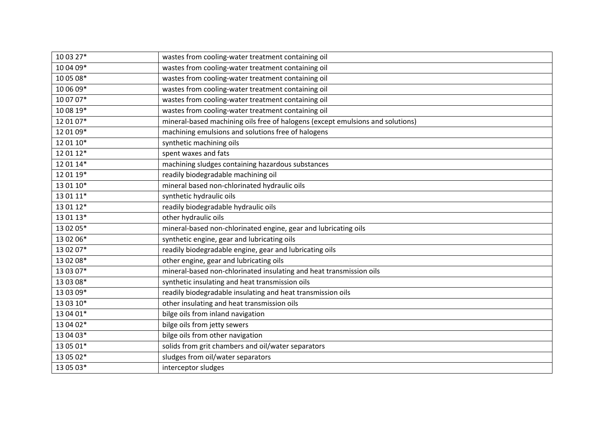| 10 03 27* | wastes from cooling-water treatment containing oil                             |
|-----------|--------------------------------------------------------------------------------|
| 10 04 09* | wastes from cooling-water treatment containing oil                             |
| 10 05 08* | wastes from cooling-water treatment containing oil                             |
| 10 06 09* | wastes from cooling-water treatment containing oil                             |
| 10 07 07* | wastes from cooling-water treatment containing oil                             |
| 10 08 19* | wastes from cooling-water treatment containing oil                             |
| 12 01 07* | mineral-based machining oils free of halogens (except emulsions and solutions) |
| 12 01 09* | machining emulsions and solutions free of halogens                             |
| 12 01 10* | synthetic machining oils                                                       |
| 12 01 12* | spent waxes and fats                                                           |
| 12 01 14* | machining sludges containing hazardous substances                              |
| 12 01 19* | readily biodegradable machining oil                                            |
| 13 01 10* | mineral based non-chlorinated hydraulic oils                                   |
| 13 01 11* | synthetic hydraulic oils                                                       |
| 13 01 12* | readily biodegradable hydraulic oils                                           |
| 13 01 13* | other hydraulic oils                                                           |
| 13 02 05* | mineral-based non-chlorinated engine, gear and lubricating oils                |
| 13 02 06* | synthetic engine, gear and lubricating oils                                    |
| 13 02 07* | readily biodegradable engine, gear and lubricating oils                        |
| 13 02 08* | other engine, gear and lubricating oils                                        |
| 13 03 07* | mineral-based non-chlorinated insulating and heat transmission oils            |
| 13 03 08* | synthetic insulating and heat transmission oils                                |
| 13 03 09* | readily biodegradable insulating and heat transmission oils                    |
| 13 03 10* | other insulating and heat transmission oils                                    |
| 13 04 01* | bilge oils from inland navigation                                              |
| 13 04 02* | bilge oils from jetty sewers                                                   |
| 13 04 03* | bilge oils from other navigation                                               |
| 13 05 01* | solids from grit chambers and oil/water separators                             |
| 13 05 02* | sludges from oil/water separators                                              |
| 13 05 03* | interceptor sludges                                                            |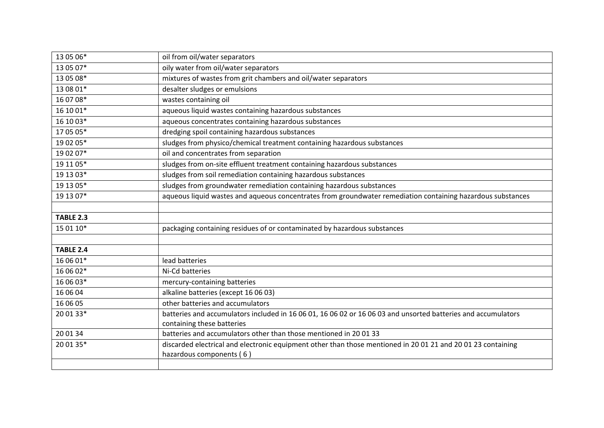| 13 05 06*        | oil from oil/water separators                                                                                                            |
|------------------|------------------------------------------------------------------------------------------------------------------------------------------|
| 13 05 07*        | oily water from oil/water separators                                                                                                     |
| 13 05 08*        | mixtures of wastes from grit chambers and oil/water separators                                                                           |
| 13 08 01*        | desalter sludges or emulsions                                                                                                            |
| 16 07 08*        | wastes containing oil                                                                                                                    |
| 16 10 01*        | aqueous liquid wastes containing hazardous substances                                                                                    |
| 16 10 03*        | aqueous concentrates containing hazardous substances                                                                                     |
| 17 05 05*        | dredging spoil containing hazardous substances                                                                                           |
| 19 02 05*        | sludges from physico/chemical treatment containing hazardous substances                                                                  |
| 19 02 07*        | oil and concentrates from separation                                                                                                     |
| 19 11 05*        | sludges from on-site effluent treatment containing hazardous substances                                                                  |
| 19 13 03*        | sludges from soil remediation containing hazardous substances                                                                            |
| 19 13 05*        | sludges from groundwater remediation containing hazardous substances                                                                     |
| 19 13 07*        | aqueous liquid wastes and aqueous concentrates from groundwater remediation containing hazardous substances                              |
|                  |                                                                                                                                          |
| <b>TABLE 2.3</b> |                                                                                                                                          |
| 15 01 10*        | packaging containing residues of or contaminated by hazardous substances                                                                 |
|                  |                                                                                                                                          |
| <b>TABLE 2.4</b> |                                                                                                                                          |
| 16 06 01*        | lead batteries                                                                                                                           |
| 16 06 02*        | Ni-Cd batteries                                                                                                                          |
| 16 06 03*        | mercury-containing batteries                                                                                                             |
| 16 06 04         | alkaline batteries (except 16 06 03)                                                                                                     |
| 16 06 05         | other batteries and accumulators                                                                                                         |
| 20 01 33*        | batteries and accumulators included in 16 06 01, 16 06 02 or 16 06 03 and unsorted batteries and accumulators                            |
|                  | containing these batteries                                                                                                               |
| 20 01 34         | batteries and accumulators other than those mentioned in 20 01 33                                                                        |
| 20 01 35*        | discarded electrical and electronic equipment other than those mentioned in 20 01 21 and 20 01 23 containing<br>hazardous components (6) |
|                  |                                                                                                                                          |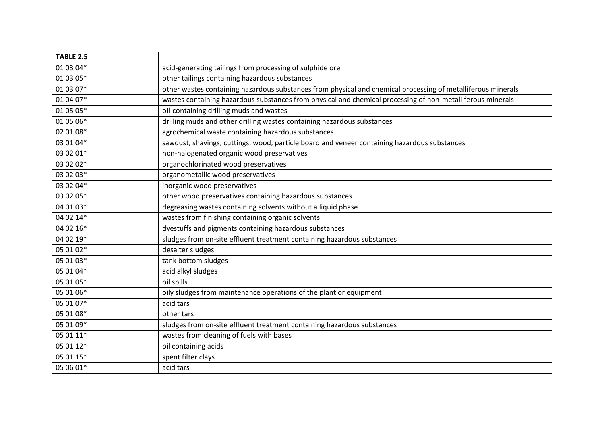| <b>TABLE 2.5</b> |                                                                                                              |
|------------------|--------------------------------------------------------------------------------------------------------------|
| 01 03 04*        | acid-generating tailings from processing of sulphide ore                                                     |
| 01 03 05*        | other tailings containing hazardous substances                                                               |
| 01 03 07*        | other wastes containing hazardous substances from physical and chemical processing of metalliferous minerals |
| 01 04 07*        | wastes containing hazardous substances from physical and chemical processing of non-metalliferous minerals   |
| 01 05 05*        | oil-containing drilling muds and wastes                                                                      |
| 01 05 06*        | drilling muds and other drilling wastes containing hazardous substances                                      |
| 02 01 08*        | agrochemical waste containing hazardous substances                                                           |
| 03 01 04*        | sawdust, shavings, cuttings, wood, particle board and veneer containing hazardous substances                 |
| 03 02 01*        | non-halogenated organic wood preservatives                                                                   |
| 03 02 02*        | organochlorinated wood preservatives                                                                         |
| 03 02 03*        | organometallic wood preservatives                                                                            |
| 03 02 04*        | inorganic wood preservatives                                                                                 |
| 03 02 05*        | other wood preservatives containing hazardous substances                                                     |
| 04 01 03*        | degreasing wastes containing solvents without a liquid phase                                                 |
| 04 02 14*        | wastes from finishing containing organic solvents                                                            |
| 04 02 16*        | dyestuffs and pigments containing hazardous substances                                                       |
| 04 02 19*        | sludges from on-site effluent treatment containing hazardous substances                                      |
| 05 01 02*        | desalter sludges                                                                                             |
| 05 01 03*        | tank bottom sludges                                                                                          |
| 05 01 04*        | acid alkyl sludges                                                                                           |
| 05 01 05*        | oil spills                                                                                                   |
| 05 01 06*        | oily sludges from maintenance operations of the plant or equipment                                           |
| 05 01 07*        | acid tars                                                                                                    |
| 05 01 08*        | other tars                                                                                                   |
| 05 01 09*        | sludges from on-site effluent treatment containing hazardous substances                                      |
| 05 01 11*        | wastes from cleaning of fuels with bases                                                                     |
| 05 01 12*        | oil containing acids                                                                                         |
| 05 01 15*        | spent filter clays                                                                                           |
| 05 06 01*        | acid tars                                                                                                    |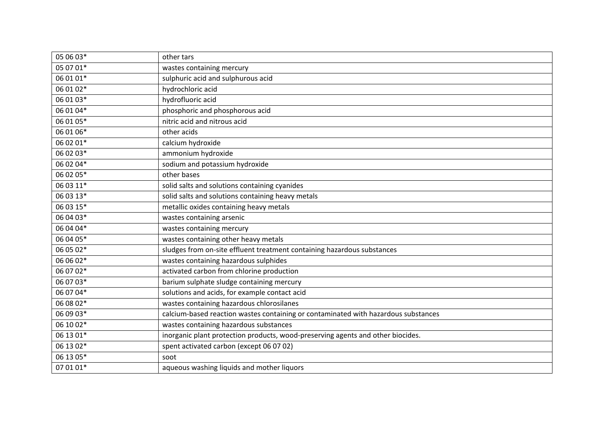| 05 06 03* | other tars                                                                         |
|-----------|------------------------------------------------------------------------------------|
| 05 07 01* | wastes containing mercury                                                          |
| 06 01 01* | sulphuric acid and sulphurous acid                                                 |
| 06 01 02* | hydrochloric acid                                                                  |
| 06 01 03* | hydrofluoric acid                                                                  |
| 06 01 04* | phosphoric and phosphorous acid                                                    |
| 06 01 05* | nitric acid and nitrous acid                                                       |
| 06 01 06* | other acids                                                                        |
| 06 02 01* | calcium hydroxide                                                                  |
| 06 02 03* | ammonium hydroxide                                                                 |
| 06 02 04* | sodium and potassium hydroxide                                                     |
| 06 02 05* | other bases                                                                        |
| 06 03 11* | solid salts and solutions containing cyanides                                      |
| 06 03 13* | solid salts and solutions containing heavy metals                                  |
| 06 03 15* | metallic oxides containing heavy metals                                            |
| 06 04 03* | wastes containing arsenic                                                          |
| 06 04 04* | wastes containing mercury                                                          |
| 06 04 05* | wastes containing other heavy metals                                               |
| 06 05 02* | sludges from on-site effluent treatment containing hazardous substances            |
| 06 06 02* | wastes containing hazardous sulphides                                              |
| 06 07 02* | activated carbon from chlorine production                                          |
| 06 07 03* | barium sulphate sludge containing mercury                                          |
| 06 07 04* | solutions and acids, for example contact acid                                      |
| 06 08 02* | wastes containing hazardous chlorosilanes                                          |
| 06 09 03* | calcium-based reaction wastes containing or contaminated with hazardous substances |
| 06 10 02* | wastes containing hazardous substances                                             |
| 06 13 01* | inorganic plant protection products, wood-preserving agents and other biocides.    |
| 06 13 02* | spent activated carbon (except 06 07 02)                                           |
| 06 13 05* | soot                                                                               |
| 07 01 01* | aqueous washing liquids and mother liquors                                         |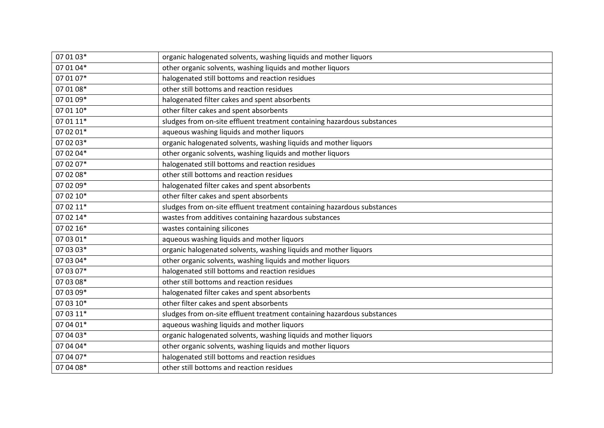| 07 01 03* | organic halogenated solvents, washing liquids and mother liquors        |
|-----------|-------------------------------------------------------------------------|
| 07 01 04* | other organic solvents, washing liquids and mother liquors              |
| 07 01 07* | halogenated still bottoms and reaction residues                         |
| 07 01 08* | other still bottoms and reaction residues                               |
| 07 01 09* | halogenated filter cakes and spent absorbents                           |
| 07 01 10* | other filter cakes and spent absorbents                                 |
| 07 01 11* | sludges from on-site effluent treatment containing hazardous substances |
| 07 02 01* | aqueous washing liquids and mother liquors                              |
| 07 02 03* | organic halogenated solvents, washing liquids and mother liquors        |
| 07 02 04* | other organic solvents, washing liquids and mother liquors              |
| 07 02 07* | halogenated still bottoms and reaction residues                         |
| 07 02 08* | other still bottoms and reaction residues                               |
| 07 02 09* | halogenated filter cakes and spent absorbents                           |
| 07 02 10* | other filter cakes and spent absorbents                                 |
| 07 02 11* | sludges from on-site effluent treatment containing hazardous substances |
| 07 02 14* | wastes from additives containing hazardous substances                   |
| 07 02 16* | wastes containing silicones                                             |
| 07 03 01* | aqueous washing liquids and mother liquors                              |
| 07 03 03* | organic halogenated solvents, washing liquids and mother liquors        |
| 07 03 04* | other organic solvents, washing liquids and mother liquors              |
| 07 03 07* | halogenated still bottoms and reaction residues                         |
| 07 03 08* | other still bottoms and reaction residues                               |
| 07 03 09* | halogenated filter cakes and spent absorbents                           |
| 07 03 10* | other filter cakes and spent absorbents                                 |
| 07 03 11* | sludges from on-site effluent treatment containing hazardous substances |
| 07 04 01* | aqueous washing liquids and mother liquors                              |
| 07 04 03* | organic halogenated solvents, washing liquids and mother liquors        |
| 07 04 04* | other organic solvents, washing liquids and mother liquors              |
| 07 04 07* | halogenated still bottoms and reaction residues                         |
| 07 04 08* | other still bottoms and reaction residues                               |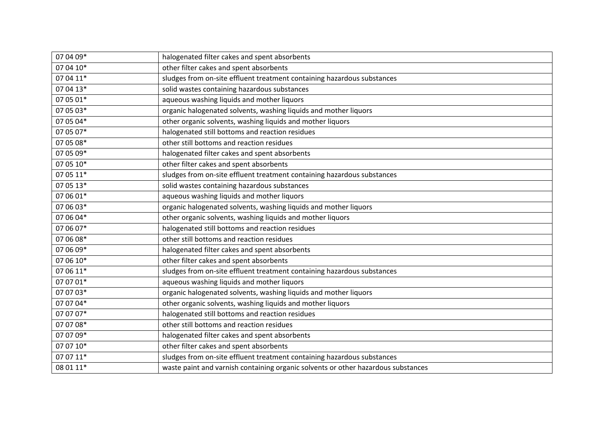| 07 04 09* | halogenated filter cakes and spent absorbents                                     |
|-----------|-----------------------------------------------------------------------------------|
| 07 04 10* | other filter cakes and spent absorbents                                           |
| 07 04 11* | sludges from on-site effluent treatment containing hazardous substances           |
| 07 04 13* | solid wastes containing hazardous substances                                      |
| 07 05 01* | aqueous washing liquids and mother liquors                                        |
| 07 05 03* | organic halogenated solvents, washing liquids and mother liquors                  |
| 07 05 04* | other organic solvents, washing liquids and mother liquors                        |
| 07 05 07* | halogenated still bottoms and reaction residues                                   |
| 07 05 08* | other still bottoms and reaction residues                                         |
| 07 05 09* | halogenated filter cakes and spent absorbents                                     |
| 07 05 10* | other filter cakes and spent absorbents                                           |
| 07 05 11* | sludges from on-site effluent treatment containing hazardous substances           |
| 07 05 13* | solid wastes containing hazardous substances                                      |
| 07 06 01* | aqueous washing liquids and mother liquors                                        |
| 07 06 03* | organic halogenated solvents, washing liquids and mother liquors                  |
| 07 06 04* | other organic solvents, washing liquids and mother liquors                        |
| 07 06 07* | halogenated still bottoms and reaction residues                                   |
| 07 06 08* | other still bottoms and reaction residues                                         |
| 07 06 09* | halogenated filter cakes and spent absorbents                                     |
| 07 06 10* | other filter cakes and spent absorbents                                           |
| 07 06 11* | sludges from on-site effluent treatment containing hazardous substances           |
| 07 07 01* | aqueous washing liquids and mother liquors                                        |
| 07 07 03* | organic halogenated solvents, washing liquids and mother liquors                  |
| 07 07 04* | other organic solvents, washing liquids and mother liquors                        |
| 07 07 07* | halogenated still bottoms and reaction residues                                   |
| 07 07 08* | other still bottoms and reaction residues                                         |
| 07 07 09* | halogenated filter cakes and spent absorbents                                     |
| 07 07 10* | other filter cakes and spent absorbents                                           |
| 07 07 11* | sludges from on-site effluent treatment containing hazardous substances           |
| 08 01 11* | waste paint and varnish containing organic solvents or other hazardous substances |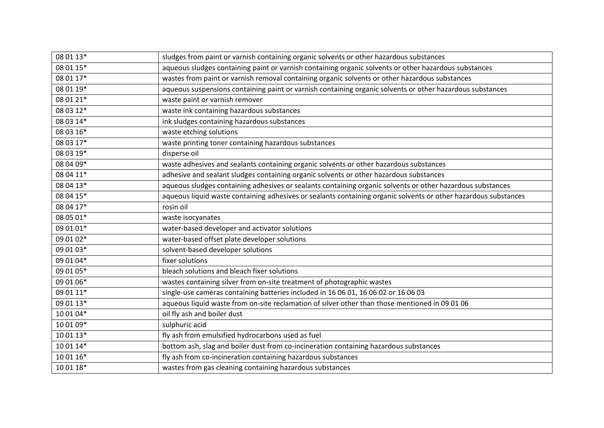| 08 01 13* | sludges from paint or varnish containing organic solvents or other hazardous substances                         |
|-----------|-----------------------------------------------------------------------------------------------------------------|
| 08 01 15* | aqueous sludges containing paint or varnish containing organic solvents or other hazardous substances           |
| 08 01 17* | wastes from paint or varnish removal containing organic solvents or other hazardous substances                  |
| 08 01 19* | aqueous suspensions containing paint or varnish containing organic solvents or other hazardous substances       |
| 08 01 21* | waste paint or varnish remover                                                                                  |
| 08 03 12* | waste ink containing hazardous substances                                                                       |
| 08 03 14* | ink sludges containing hazardous substances                                                                     |
| 08 03 16* | waste etching solutions                                                                                         |
| 08 03 17* | waste printing toner containing hazardous substances                                                            |
| 08 03 19* | disperse oil                                                                                                    |
| 08 04 09* | waste adhesives and sealants containing organic solvents or other hazardous substances                          |
| 08 04 11* | adhesive and sealant sludges containing organic solvents or other hazardous substances                          |
| 08 04 13* | aqueous sludges containing adhesives or sealants containing organic solvents or other hazardous substances      |
| 08 04 15* | aqueous liquid waste containing adhesives or sealants containing organic solvents or other hazardous substances |
| 08 04 17* | rosin oil                                                                                                       |
|           |                                                                                                                 |
| 08 05 01* | waste isocyanates                                                                                               |
| 09 01 01* | water-based developer and activator solutions                                                                   |
| 09 01 02* | water-based offset plate developer solutions                                                                    |
| 09 01 03* | solvent-based developer solutions                                                                               |
| 09 01 04* | fixer solutions                                                                                                 |
| 09 01 05* | bleach solutions and bleach fixer solutions                                                                     |
| 09 01 06* | wastes containing silver from on-site treatment of photographic wastes                                          |
| 09 01 11* | single-use cameras containing batteries included in 16 06 01, 16 06 02 or 16 06 03                              |
| 09 01 13* | aqueous liquid waste from on-site reclamation of silver other than those mentioned in 09 01 06                  |
| 10 01 04* | oil fly ash and boiler dust                                                                                     |
| 10 01 09* | sulphuric acid                                                                                                  |
| 10 01 13* | fly ash from emulsified hydrocarbons used as fuel                                                               |
| 10 01 14* | bottom ash, slag and boiler dust from co-incineration containing hazardous substances                           |
| 10 01 16* | fly ash from co-incineration containing hazardous substances                                                    |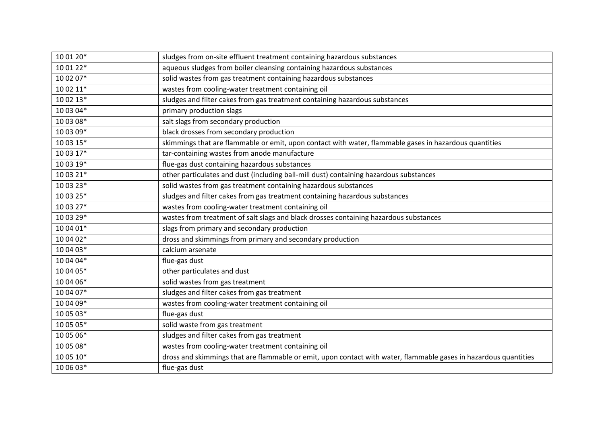| 10 01 20* | sludges from on-site effluent treatment containing hazardous substances                                          |
|-----------|------------------------------------------------------------------------------------------------------------------|
| 10 01 22* | aqueous sludges from boiler cleansing containing hazardous substances                                            |
| 10 02 07* | solid wastes from gas treatment containing hazardous substances                                                  |
| 10 02 11* | wastes from cooling-water treatment containing oil                                                               |
| 10 02 13* | sludges and filter cakes from gas treatment containing hazardous substances                                      |
| 10 03 04* | primary production slags                                                                                         |
| 10 03 08* | salt slags from secondary production                                                                             |
| 10 03 09* | black drosses from secondary production                                                                          |
| 10 03 15* | skimmings that are flammable or emit, upon contact with water, flammable gases in hazardous quantities           |
| 10 03 17* | tar-containing wastes from anode manufacture                                                                     |
| 10 03 19* | flue-gas dust containing hazardous substances                                                                    |
| 10 03 21* | other particulates and dust (including ball-mill dust) containing hazardous substances                           |
| 10 03 23* | solid wastes from gas treatment containing hazardous substances                                                  |
| 10 03 25* | sludges and filter cakes from gas treatment containing hazardous substances                                      |
| 10 03 27* | wastes from cooling-water treatment containing oil                                                               |
| 10 03 29* | wastes from treatment of salt slags and black drosses containing hazardous substances                            |
| 10 04 01* | slags from primary and secondary production                                                                      |
| 10 04 02* | dross and skimmings from primary and secondary production                                                        |
| 10 04 03* | calcium arsenate                                                                                                 |
| 10 04 04* | flue-gas dust                                                                                                    |
| 10 04 05* | other particulates and dust                                                                                      |
| 10 04 06* | solid wastes from gas treatment                                                                                  |
| 10 04 07* | sludges and filter cakes from gas treatment                                                                      |
| 10 04 09* | wastes from cooling-water treatment containing oil                                                               |
| 10 05 03* | flue-gas dust                                                                                                    |
| 10 05 05* | solid waste from gas treatment                                                                                   |
| 10 05 06* | sludges and filter cakes from gas treatment                                                                      |
| 10 05 08* | wastes from cooling-water treatment containing oil                                                               |
| 10 05 10* | dross and skimmings that are flammable or emit, upon contact with water, flammable gases in hazardous quantities |
| 10 06 03* | flue-gas dust                                                                                                    |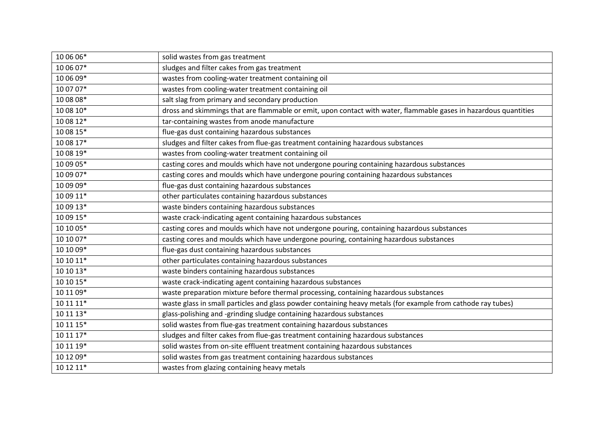| 10 06 06*   | solid wastes from gas treatment                                                                                  |
|-------------|------------------------------------------------------------------------------------------------------------------|
| 10 06 07*   | sludges and filter cakes from gas treatment                                                                      |
| 10 06 09*   | wastes from cooling-water treatment containing oil                                                               |
| 10 07 07*   | wastes from cooling-water treatment containing oil                                                               |
| 10 08 08*   | salt slag from primary and secondary production                                                                  |
| $100810*$   | dross and skimmings that are flammable or emit, upon contact with water, flammable gases in hazardous quantities |
| 10 08 12*   | tar-containing wastes from anode manufacture                                                                     |
| 10 08 15*   | flue-gas dust containing hazardous substances                                                                    |
| 10 08 17*   | sludges and filter cakes from flue-gas treatment containing hazardous substances                                 |
| 10 08 19*   | wastes from cooling-water treatment containing oil                                                               |
| 10 09 05*   | casting cores and moulds which have not undergone pouring containing hazardous substances                        |
| 10 09 07*   | casting cores and moulds which have undergone pouring containing hazardous substances                            |
| 10 09 09*   | flue-gas dust containing hazardous substances                                                                    |
| 10 09 11*   | other particulates containing hazardous substances                                                               |
| 10 09 13*   | waste binders containing hazardous substances                                                                    |
| 10 09 15*   | waste crack-indicating agent containing hazardous substances                                                     |
| 10 10 05*   | casting cores and moulds which have not undergone pouring, containing hazardous substances                       |
| 10 10 07*   | casting cores and moulds which have undergone pouring, containing hazardous substances                           |
| 10 10 09*   | flue-gas dust containing hazardous substances                                                                    |
| $10 10 11*$ | other particulates containing hazardous substances                                                               |
| 10 10 13*   | waste binders containing hazardous substances                                                                    |
| $10 10 15*$ | waste crack-indicating agent containing hazardous substances                                                     |
| 10 11 09*   | waste preparation mixture before thermal processing, containing hazardous substances                             |
| 10 11 11*   | waste glass in small particles and glass powder containing heavy metals (for example from cathode ray tubes)     |
| 10 11 13*   | glass-polishing and -grinding sludge containing hazardous substances                                             |
| $101115*$   | solid wastes from flue-gas treatment containing hazardous substances                                             |
| 10 11 17*   | sludges and filter cakes from flue-gas treatment containing hazardous substances                                 |
| 10 11 19*   | solid wastes from on-site effluent treatment containing hazardous substances                                     |
| 10 12 09*   | solid wastes from gas treatment containing hazardous substances                                                  |
| 10 12 11*   | wastes from glazing containing heavy metals                                                                      |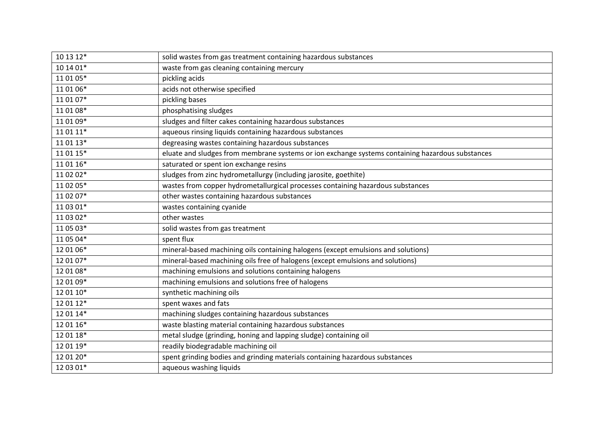| 10 13 12* | solid wastes from gas treatment containing hazardous substances                                  |
|-----------|--------------------------------------------------------------------------------------------------|
| 10 14 01* | waste from gas cleaning containing mercury                                                       |
| 11 01 05* | pickling acids                                                                                   |
| 11 01 06* | acids not otherwise specified                                                                    |
| 11 01 07* | pickling bases                                                                                   |
| 11 01 08* | phosphatising sludges                                                                            |
| 11 01 09* | sludges and filter cakes containing hazardous substances                                         |
| 11 01 11* | aqueous rinsing liquids containing hazardous substances                                          |
| 11 01 13* | degreasing wastes containing hazardous substances                                                |
| 11 01 15* | eluate and sludges from membrane systems or ion exchange systems containing hazardous substances |
| 11 01 16* | saturated or spent ion exchange resins                                                           |
| 11 02 02* | sludges from zinc hydrometallurgy (including jarosite, goethite)                                 |
| 11 02 05* | wastes from copper hydrometallurgical processes containing hazardous substances                  |
| 11 02 07* | other wastes containing hazardous substances                                                     |
| 11 03 01* | wastes containing cyanide                                                                        |
| 11 03 02* | other wastes                                                                                     |
| 11 05 03* | solid wastes from gas treatment                                                                  |
| 11 05 04* | spent flux                                                                                       |
| 12 01 06* | mineral-based machining oils containing halogens (except emulsions and solutions)                |
| 12 01 07* | mineral-based machining oils free of halogens (except emulsions and solutions)                   |
| 12 01 08* | machining emulsions and solutions containing halogens                                            |
| 12 01 09* | machining emulsions and solutions free of halogens                                               |
| 12 01 10* | synthetic machining oils                                                                         |
| 12 01 12* | spent waxes and fats                                                                             |
| 12 01 14* | machining sludges containing hazardous substances                                                |
| 12 01 16* | waste blasting material containing hazardous substances                                          |
| 12 01 18* | metal sludge (grinding, honing and lapping sludge) containing oil                                |
| 12 01 19* | readily biodegradable machining oil                                                              |
| 12 01 20* | spent grinding bodies and grinding materials containing hazardous substances                     |
| 12 03 01* | aqueous washing liquids                                                                          |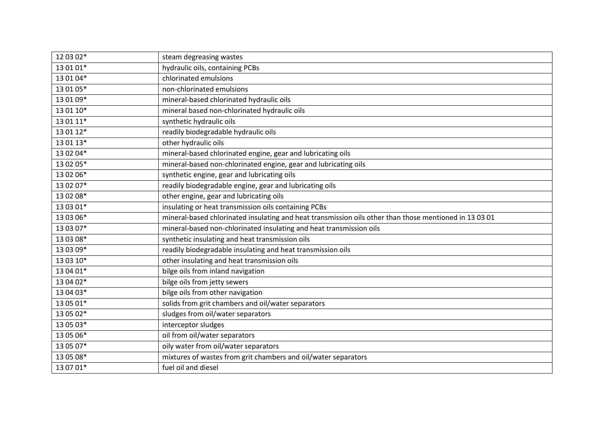| 12 03 02* | steam degreasing wastes                                                                                |
|-----------|--------------------------------------------------------------------------------------------------------|
| 13 01 01* | hydraulic oils, containing PCBs                                                                        |
| 13 01 04* | chlorinated emulsions                                                                                  |
| 13 01 05* | non-chlorinated emulsions                                                                              |
| 13 01 09* | mineral-based chlorinated hydraulic oils                                                               |
| 13 01 10* | mineral based non-chlorinated hydraulic oils                                                           |
| 13 01 11* | synthetic hydraulic oils                                                                               |
| 13 01 12* | readily biodegradable hydraulic oils                                                                   |
| 13 01 13* | other hydraulic oils                                                                                   |
| 13 02 04* | mineral-based chlorinated engine, gear and lubricating oils                                            |
| 13 02 05* | mineral-based non-chlorinated engine, gear and lubricating oils                                        |
| 13 02 06* | synthetic engine, gear and lubricating oils                                                            |
| 13 02 07* | readily biodegradable engine, gear and lubricating oils                                                |
| 13 02 08* | other engine, gear and lubricating oils                                                                |
| 13 03 01* | insulating or heat transmission oils containing PCBs                                                   |
| 13 03 06* | mineral-based chlorinated insulating and heat transmission oils other than those mentioned in 13 03 01 |
| 13 03 07* | mineral-based non-chlorinated insulating and heat transmission oils                                    |
| 13 03 08* | synthetic insulating and heat transmission oils                                                        |
| 13 03 09* | readily biodegradable insulating and heat transmission oils                                            |
| 13 03 10* | other insulating and heat transmission oils                                                            |
| 13 04 01* | bilge oils from inland navigation                                                                      |
| 13 04 02* | bilge oils from jetty sewers                                                                           |
| 13 04 03* |                                                                                                        |
|           | bilge oils from other navigation                                                                       |
| 13 05 01* | solids from grit chambers and oil/water separators                                                     |
| 13 05 02* | sludges from oil/water separators                                                                      |
| 13 05 03* | interceptor sludges                                                                                    |
| 13 05 06* | oil from oil/water separators                                                                          |
| 13 05 07* | oily water from oil/water separators                                                                   |
| 13 05 08* | mixtures of wastes from grit chambers and oil/water separators                                         |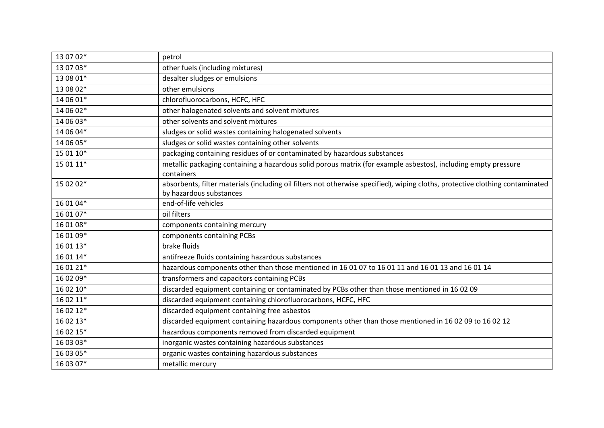| 13 07 02* | petrol                                                                                                                                                   |
|-----------|----------------------------------------------------------------------------------------------------------------------------------------------------------|
| 13 07 03* | other fuels (including mixtures)                                                                                                                         |
| 13 08 01* | desalter sludges or emulsions                                                                                                                            |
| 13 08 02* | other emulsions                                                                                                                                          |
| 14 06 01* | chlorofluorocarbons, HCFC, HFC                                                                                                                           |
| 14 06 02* | other halogenated solvents and solvent mixtures                                                                                                          |
| 14 06 03* | other solvents and solvent mixtures                                                                                                                      |
| 14 06 04* | sludges or solid wastes containing halogenated solvents                                                                                                  |
| 14 06 05* | sludges or solid wastes containing other solvents                                                                                                        |
| 15 01 10* | packaging containing residues of or contaminated by hazardous substances                                                                                 |
| 15 01 11* | metallic packaging containing a hazardous solid porous matrix (for example asbestos), including empty pressure<br>containers                             |
| 15 02 02* | absorbents, filter materials (including oil filters not otherwise specified), wiping cloths, protective clothing contaminated<br>by hazardous substances |
| 16 01 04* | end-of-life vehicles                                                                                                                                     |
| 16 01 07* | oil filters                                                                                                                                              |
| 16 01 08* | components containing mercury                                                                                                                            |
| 16 01 09* | components containing PCBs                                                                                                                               |
| 16 01 13* | brake fluids                                                                                                                                             |
| 16 01 14* | antifreeze fluids containing hazardous substances                                                                                                        |
| 16 01 21* | hazardous components other than those mentioned in 16 01 07 to 16 01 11 and 16 01 13 and 16 01 14                                                        |
| 16 02 09* | transformers and capacitors containing PCBs                                                                                                              |
| 16 02 10* | discarded equipment containing or contaminated by PCBs other than those mentioned in 16 02 09                                                            |
| 16 02 11* | discarded equipment containing chlorofluorocarbons, HCFC, HFC                                                                                            |
| 16 02 12* | discarded equipment containing free asbestos                                                                                                             |
| 16 02 13* | discarded equipment containing hazardous components other than those mentioned in 16 02 09 to 16 02 12                                                   |
| 16 02 15* | hazardous components removed from discarded equipment                                                                                                    |
| 16 03 03* | inorganic wastes containing hazardous substances                                                                                                         |
| 16 03 05* | organic wastes containing hazardous substances                                                                                                           |
| 16 03 07* | metallic mercury                                                                                                                                         |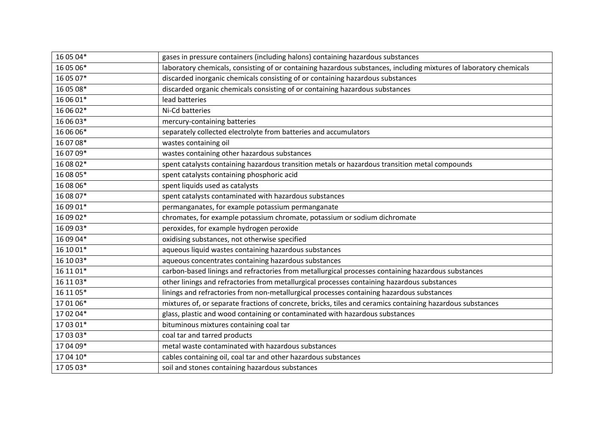| 16 05 04* | gases in pressure containers (including halons) containing hazardous substances                                    |
|-----------|--------------------------------------------------------------------------------------------------------------------|
| 16 05 06* | laboratory chemicals, consisting of or containing hazardous substances, including mixtures of laboratory chemicals |
| 16 05 07* | discarded inorganic chemicals consisting of or containing hazardous substances                                     |
| 16 05 08* | discarded organic chemicals consisting of or containing hazardous substances                                       |
| 16 06 01* | lead batteries                                                                                                     |
| 16 06 02* | Ni-Cd batteries                                                                                                    |
| 16 06 03* | mercury-containing batteries                                                                                       |
| 16 06 06* | separately collected electrolyte from batteries and accumulators                                                   |
| 16 07 08* | wastes containing oil                                                                                              |
| 16 07 09* | wastes containing other hazardous substances                                                                       |
| 16 08 02* | spent catalysts containing hazardous transition metals or hazardous transition metal compounds                     |
| 16 08 05* | spent catalysts containing phosphoric acid                                                                         |
| 16 08 06* | spent liquids used as catalysts                                                                                    |
| 16 08 07* | spent catalysts contaminated with hazardous substances                                                             |
| 16 09 01* | permanganates, for example potassium permanganate                                                                  |
| 16 09 02* | chromates, for example potassium chromate, potassium or sodium dichromate                                          |
| 16 09 03* | peroxides, for example hydrogen peroxide                                                                           |
| 16 09 04* | oxidising substances, not otherwise specified                                                                      |
| 16 10 01* | aqueous liquid wastes containing hazardous substances                                                              |
| 16 10 03* | aqueous concentrates containing hazardous substances                                                               |
| 16 11 01* | carbon-based linings and refractories from metallurgical processes containing hazardous substances                 |
| 16 11 03* | other linings and refractories from metallurgical processes containing hazardous substances                        |
| 16 11 05* | linings and refractories from non-metallurgical processes containing hazardous substances                          |
| 17 01 06* | mixtures of, or separate fractions of concrete, bricks, tiles and ceramics containing hazardous substances         |
| 17 02 04* | glass, plastic and wood containing or contaminated with hazardous substances                                       |
| 17 03 01* | bituminous mixtures containing coal tar                                                                            |
| 17 03 03* | coal tar and tarred products                                                                                       |
| 17 04 09* | metal waste contaminated with hazardous substances                                                                 |
| 17 04 10* | cables containing oil, coal tar and other hazardous substances                                                     |
| 17 05 03* | soil and stones containing hazardous substances                                                                    |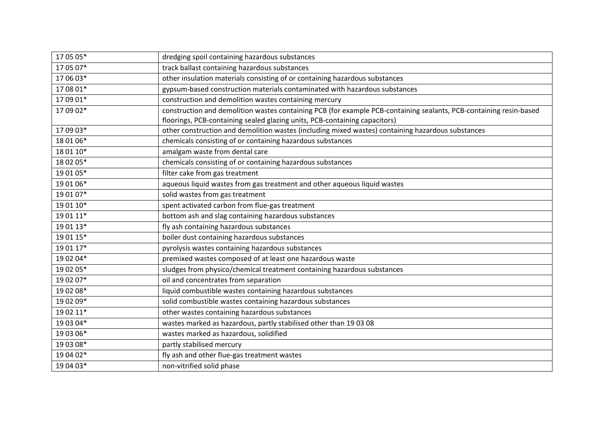| 17 05 05* | dredging spoil containing hazardous substances                                                                     |
|-----------|--------------------------------------------------------------------------------------------------------------------|
| 17 05 07* | track ballast containing hazardous substances                                                                      |
| 17 06 03* | other insulation materials consisting of or containing hazardous substances                                        |
| 17 08 01* | gypsum-based construction materials contaminated with hazardous substances                                         |
| 17 09 01* | construction and demolition wastes containing mercury                                                              |
| 17 09 02* | construction and demolition wastes containing PCB (for example PCB-containing sealants, PCB-containing resin-based |
|           | floorings, PCB-containing sealed glazing units, PCB-containing capacitors)                                         |
| 17 09 03* | other construction and demolition wastes (including mixed wastes) containing hazardous substances                  |
| 18 01 06* | chemicals consisting of or containing hazardous substances                                                         |
| 18 01 10* | amalgam waste from dental care                                                                                     |
| 18 02 05* | chemicals consisting of or containing hazardous substances                                                         |
| 19 01 05* | filter cake from gas treatment                                                                                     |
| 19 01 06* | aqueous liquid wastes from gas treatment and other aqueous liquid wastes                                           |
| 19 01 07* | solid wastes from gas treatment                                                                                    |
| 19 01 10* | spent activated carbon from flue-gas treatment                                                                     |
| 19 01 11* | bottom ash and slag containing hazardous substances                                                                |
| 19 01 13* | fly ash containing hazardous substances                                                                            |
| 19 01 15* | boiler dust containing hazardous substances                                                                        |
| 19 01 17* | pyrolysis wastes containing hazardous substances                                                                   |
| 19 02 04* | premixed wastes composed of at least one hazardous waste                                                           |
| 19 02 05* | sludges from physico/chemical treatment containing hazardous substances                                            |
| 19 02 07* | oil and concentrates from separation                                                                               |
| 19 02 08* | liquid combustible wastes containing hazardous substances                                                          |
| 19 02 09* | solid combustible wastes containing hazardous substances                                                           |
| 19 02 11* | other wastes containing hazardous substances                                                                       |
| 19 03 04* | wastes marked as hazardous, partly stabilised other than 19 03 08                                                  |
| 19 03 06* | wastes marked as hazardous, solidified                                                                             |
| 19 03 08* | partly stabilised mercury                                                                                          |
| 19 04 02* | fly ash and other flue-gas treatment wastes                                                                        |
| 19 04 03* | non-vitrified solid phase                                                                                          |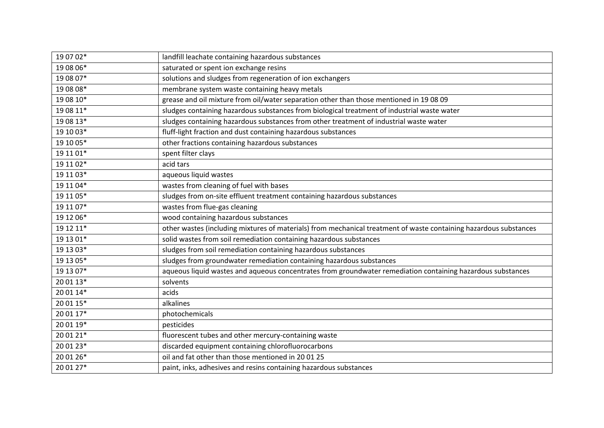| 19 07 02* | landfill leachate containing hazardous substances                                                                 |
|-----------|-------------------------------------------------------------------------------------------------------------------|
| 19 08 06* | saturated or spent ion exchange resins                                                                            |
| 19 08 07* | solutions and sludges from regeneration of ion exchangers                                                         |
| 19 08 08* | membrane system waste containing heavy metals                                                                     |
| 19 08 10* | grease and oil mixture from oil/water separation other than those mentioned in 19 08 09                           |
| 19 08 11* | sludges containing hazardous substances from biological treatment of industrial waste water                       |
| 19 08 13* | sludges containing hazardous substances from other treatment of industrial waste water                            |
| 19 10 03* | fluff-light fraction and dust containing hazardous substances                                                     |
| 19 10 05* | other fractions containing hazardous substances                                                                   |
| 19 11 01* | spent filter clays                                                                                                |
| 19 11 02* | acid tars                                                                                                         |
| 19 11 03* | aqueous liquid wastes                                                                                             |
| 19 11 04* | wastes from cleaning of fuel with bases                                                                           |
| 19 11 05* | sludges from on-site effluent treatment containing hazardous substances                                           |
| 19 11 07* | wastes from flue-gas cleaning                                                                                     |
|           |                                                                                                                   |
| 19 12 06* | wood containing hazardous substances                                                                              |
| 19 12 11* | other wastes (including mixtures of materials) from mechanical treatment of waste containing hazardous substances |
| 19 13 01* | solid wastes from soil remediation containing hazardous substances                                                |
| 19 13 03* | sludges from soil remediation containing hazardous substances                                                     |
| 19 13 05* | sludges from groundwater remediation containing hazardous substances                                              |
| 19 13 07* | aqueous liquid wastes and aqueous concentrates from groundwater remediation containing hazardous substances       |
| 20 01 13* | solvents                                                                                                          |
| 20 01 14* | acids                                                                                                             |
| 20 01 15* | alkalines                                                                                                         |
| 20 01 17* | photochemicals                                                                                                    |
| 20 01 19* | pesticides                                                                                                        |
| 20 01 21* | fluorescent tubes and other mercury-containing waste                                                              |
| 20 01 23* | discarded equipment containing chlorofluorocarbons                                                                |
| 20 01 26* | oil and fat other than those mentioned in 20 01 25                                                                |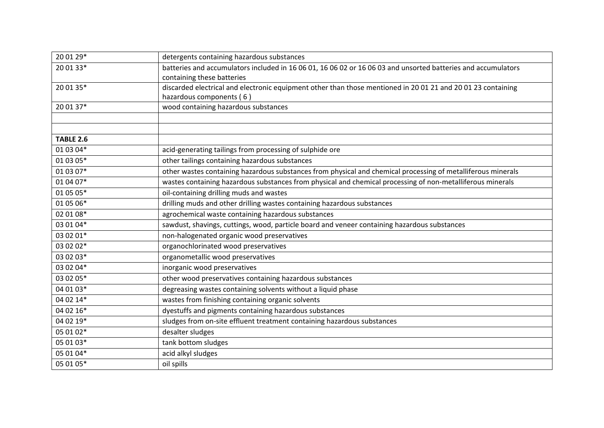| 20 01 29*        | detergents containing hazardous substances                                                                    |
|------------------|---------------------------------------------------------------------------------------------------------------|
| 20 01 33*        | batteries and accumulators included in 16 06 01, 16 06 02 or 16 06 03 and unsorted batteries and accumulators |
|                  | containing these batteries                                                                                    |
| 20 01 35*        | discarded electrical and electronic equipment other than those mentioned in 20 01 21 and 20 01 23 containing  |
|                  | hazardous components (6)                                                                                      |
| 20 01 37*        | wood containing hazardous substances                                                                          |
|                  |                                                                                                               |
|                  |                                                                                                               |
| <b>TABLE 2.6</b> |                                                                                                               |
| 01 03 04*        | acid-generating tailings from processing of sulphide ore                                                      |
| 01 03 05*        | other tailings containing hazardous substances                                                                |
| 01 03 07*        | other wastes containing hazardous substances from physical and chemical processing of metalliferous minerals  |
| 01 04 07*        | wastes containing hazardous substances from physical and chemical processing of non-metalliferous minerals    |
| 01 05 05*        | oil-containing drilling muds and wastes                                                                       |
| 01 05 06*        | drilling muds and other drilling wastes containing hazardous substances                                       |
| 02 01 08*        | agrochemical waste containing hazardous substances                                                            |
| 03 01 04*        | sawdust, shavings, cuttings, wood, particle board and veneer containing hazardous substances                  |
| 03 02 01*        | non-halogenated organic wood preservatives                                                                    |
| 03 02 02*        | organochlorinated wood preservatives                                                                          |
| 03 02 03*        | organometallic wood preservatives                                                                             |
| 03 02 04*        | inorganic wood preservatives                                                                                  |
| 03 02 05*        | other wood preservatives containing hazardous substances                                                      |
| 04 01 03*        | degreasing wastes containing solvents without a liquid phase                                                  |
| 04 02 14*        | wastes from finishing containing organic solvents                                                             |
| 04 02 16*        | dyestuffs and pigments containing hazardous substances                                                        |
| 04 02 19*        | sludges from on-site effluent treatment containing hazardous substances                                       |
| 05 01 02*        | desalter sludges                                                                                              |
| 05 01 03*        | tank bottom sludges                                                                                           |
| 05 01 04*        | acid alkyl sludges                                                                                            |
| 05 01 05*        | oil spills                                                                                                    |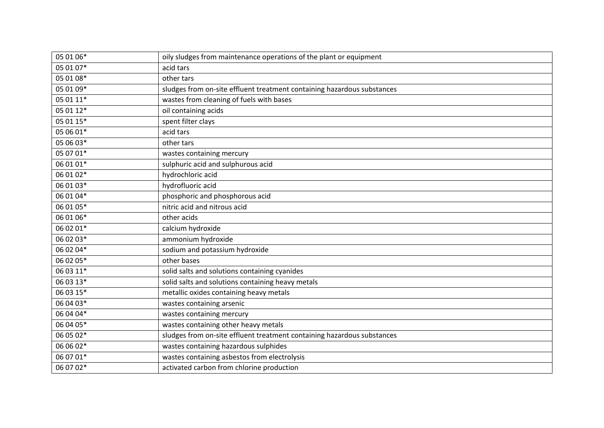| 05 01 06* | oily sludges from maintenance operations of the plant or equipment      |
|-----------|-------------------------------------------------------------------------|
| 05 01 07* | acid tars                                                               |
| 05 01 08* | other tars                                                              |
| 05 01 09* | sludges from on-site effluent treatment containing hazardous substances |
| 05 01 11* | wastes from cleaning of fuels with bases                                |
| 05 01 12* | oil containing acids                                                    |
| 05 01 15* | spent filter clays                                                      |
| 05 06 01* | acid tars                                                               |
| 05 06 03* | other tars                                                              |
| 05 07 01* | wastes containing mercury                                               |
| 06 01 01* | sulphuric acid and sulphurous acid                                      |
| 06 01 02* | hydrochloric acid                                                       |
| 06 01 03* | hydrofluoric acid                                                       |
| 06 01 04* | phosphoric and phosphorous acid                                         |
| 06 01 05* | nitric acid and nitrous acid                                            |
| 06 01 06* | other acids                                                             |
| 06 02 01* | calcium hydroxide                                                       |
| 06 02 03* | ammonium hydroxide                                                      |
| 06 02 04* | sodium and potassium hydroxide                                          |
| 06 02 05* | other bases                                                             |
| 06 03 11* | solid salts and solutions containing cyanides                           |
| 06 03 13* | solid salts and solutions containing heavy metals                       |
| 06 03 15* | metallic oxides containing heavy metals                                 |
| 06 04 03* | wastes containing arsenic                                               |
| 06 04 04* | wastes containing mercury                                               |
| 06 04 05* | wastes containing other heavy metals                                    |
| 06 05 02* | sludges from on-site effluent treatment containing hazardous substances |
| 06 06 02* | wastes containing hazardous sulphides                                   |
| 06 07 01* | wastes containing asbestos from electrolysis                            |
| 06 07 02* | activated carbon from chlorine production                               |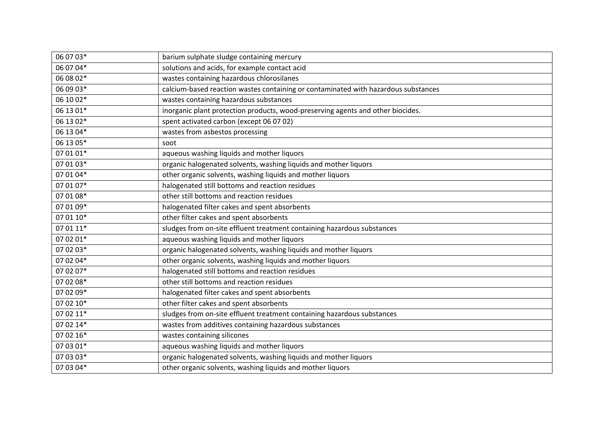| 06 07 03* | barium sulphate sludge containing mercury                                          |
|-----------|------------------------------------------------------------------------------------|
| 06 07 04* | solutions and acids, for example contact acid                                      |
| 06 08 02* | wastes containing hazardous chlorosilanes                                          |
| 06 09 03* | calcium-based reaction wastes containing or contaminated with hazardous substances |
| 06 10 02* | wastes containing hazardous substances                                             |
| 06 13 01* | inorganic plant protection products, wood-preserving agents and other biocides.    |
| 06 13 02* | spent activated carbon (except 06 07 02)                                           |
| 06 13 04* | wastes from asbestos processing                                                    |
| 06 13 05* | soot                                                                               |
| 07 01 01* | aqueous washing liquids and mother liquors                                         |
| 07 01 03* | organic halogenated solvents, washing liquids and mother liquors                   |
| 07 01 04* | other organic solvents, washing liquids and mother liquors                         |
| 07 01 07* | halogenated still bottoms and reaction residues                                    |
| 07 01 08* | other still bottoms and reaction residues                                          |
| 07 01 09* | halogenated filter cakes and spent absorbents                                      |
| 07 01 10* | other filter cakes and spent absorbents                                            |
| 07 01 11* | sludges from on-site effluent treatment containing hazardous substances            |
| 07 02 01* | aqueous washing liquids and mother liquors                                         |
| 07 02 03* | organic halogenated solvents, washing liquids and mother liquors                   |
| 07 02 04* | other organic solvents, washing liquids and mother liquors                         |
| 07 02 07* | halogenated still bottoms and reaction residues                                    |
| 07 02 08* | other still bottoms and reaction residues                                          |
| 07 02 09* | halogenated filter cakes and spent absorbents                                      |
| 07 02 10* | other filter cakes and spent absorbents                                            |
| 07 02 11* | sludges from on-site effluent treatment containing hazardous substances            |
| 07 02 14* | wastes from additives containing hazardous substances                              |
| 07 02 16* | wastes containing silicones                                                        |
| 07 03 01* | aqueous washing liquids and mother liquors                                         |
| 07 03 03* | organic halogenated solvents, washing liquids and mother liquors                   |
| 07 03 04* | other organic solvents, washing liquids and mother liquors                         |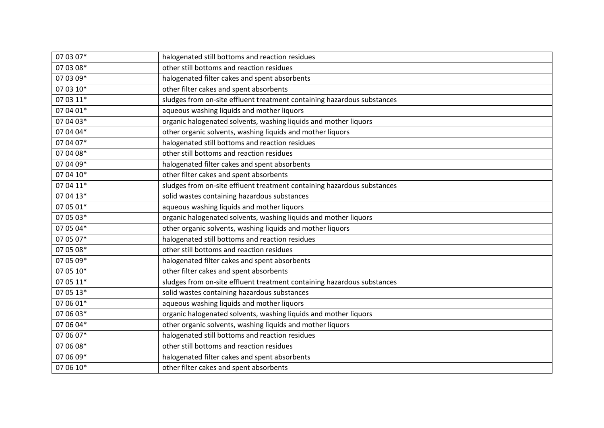| 07 03 07* | halogenated still bottoms and reaction residues                         |
|-----------|-------------------------------------------------------------------------|
| 07 03 08* | other still bottoms and reaction residues                               |
| 07 03 09* | halogenated filter cakes and spent absorbents                           |
| 07 03 10* | other filter cakes and spent absorbents                                 |
| 07 03 11* | sludges from on-site effluent treatment containing hazardous substances |
| 07 04 01* | aqueous washing liquids and mother liquors                              |
| 07 04 03* | organic halogenated solvents, washing liquids and mother liquors        |
| 07 04 04* | other organic solvents, washing liquids and mother liquors              |
| 07 04 07* | halogenated still bottoms and reaction residues                         |
| 07 04 08* | other still bottoms and reaction residues                               |
| 07 04 09* | halogenated filter cakes and spent absorbents                           |
| 07 04 10* | other filter cakes and spent absorbents                                 |
| 07 04 11* | sludges from on-site effluent treatment containing hazardous substances |
| 07 04 13* | solid wastes containing hazardous substances                            |
| 07 05 01* | aqueous washing liquids and mother liquors                              |
| 07 05 03* | organic halogenated solvents, washing liquids and mother liquors        |
| 07 05 04* | other organic solvents, washing liquids and mother liquors              |
| 07 05 07* | halogenated still bottoms and reaction residues                         |
| 07 05 08* | other still bottoms and reaction residues                               |
| 07 05 09* | halogenated filter cakes and spent absorbents                           |
| 07 05 10* | other filter cakes and spent absorbents                                 |
| 07 05 11* | sludges from on-site effluent treatment containing hazardous substances |
| 07 05 13* | solid wastes containing hazardous substances                            |
| 07 06 01* | aqueous washing liquids and mother liquors                              |
| 07 06 03* | organic halogenated solvents, washing liquids and mother liquors        |
| 07 06 04* | other organic solvents, washing liquids and mother liquors              |
| 07 06 07* | halogenated still bottoms and reaction residues                         |
| 07 06 08* | other still bottoms and reaction residues                               |
| 07 06 09* | halogenated filter cakes and spent absorbents                           |
| 07 06 10* | other filter cakes and spent absorbents                                 |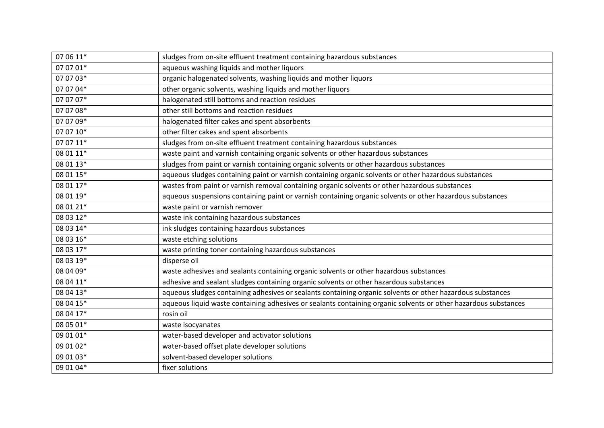| 07 06 11* | sludges from on-site effluent treatment containing hazardous substances                                         |
|-----------|-----------------------------------------------------------------------------------------------------------------|
| 07 07 01* | aqueous washing liquids and mother liquors                                                                      |
| 07 07 03* | organic halogenated solvents, washing liquids and mother liquors                                                |
| 07 07 04* | other organic solvents, washing liquids and mother liquors                                                      |
| 07 07 07* | halogenated still bottoms and reaction residues                                                                 |
| 07 07 08* | other still bottoms and reaction residues                                                                       |
| 07 07 09* | halogenated filter cakes and spent absorbents                                                                   |
| 07 07 10* | other filter cakes and spent absorbents                                                                         |
| 07 07 11* | sludges from on-site effluent treatment containing hazardous substances                                         |
| 08 01 11* | waste paint and varnish containing organic solvents or other hazardous substances                               |
| 08 01 13* | sludges from paint or varnish containing organic solvents or other hazardous substances                         |
| 08 01 15* | aqueous sludges containing paint or varnish containing organic solvents or other hazardous substances           |
| 08 01 17* | wastes from paint or varnish removal containing organic solvents or other hazardous substances                  |
| 08 01 19* | aqueous suspensions containing paint or varnish containing organic solvents or other hazardous substances       |
| 08 01 21* | waste paint or varnish remover                                                                                  |
| 08 03 12* | waste ink containing hazardous substances                                                                       |
| 08 03 14* | ink sludges containing hazardous substances                                                                     |
| 08 03 16* | waste etching solutions                                                                                         |
| 08 03 17* | waste printing toner containing hazardous substances                                                            |
| 08 03 19* | disperse oil                                                                                                    |
| 08 04 09* | waste adhesives and sealants containing organic solvents or other hazardous substances                          |
| 08 04 11* | adhesive and sealant sludges containing organic solvents or other hazardous substances                          |
| 08 04 13* | aqueous sludges containing adhesives or sealants containing organic solvents or other hazardous substances      |
| 08 04 15* | aqueous liquid waste containing adhesives or sealants containing organic solvents or other hazardous substances |
| 08 04 17* | rosin oil                                                                                                       |
| 08 05 01* | waste isocyanates                                                                                               |
| 09 01 01* | water-based developer and activator solutions                                                                   |
| 09 01 02* | water-based offset plate developer solutions                                                                    |
| 09 01 03* | solvent-based developer solutions                                                                               |
| 09 01 04* | fixer solutions                                                                                                 |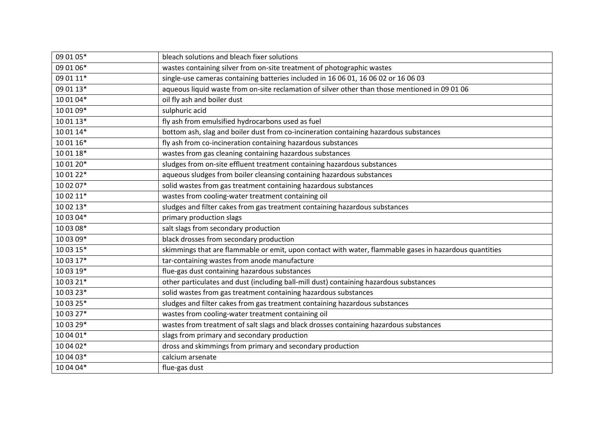| 09 01 05* | bleach solutions and bleach fixer solutions                                                            |
|-----------|--------------------------------------------------------------------------------------------------------|
| 09 01 06* | wastes containing silver from on-site treatment of photographic wastes                                 |
| 09 01 11* | single-use cameras containing batteries included in 16 06 01, 16 06 02 or 16 06 03                     |
| 09 01 13* | aqueous liquid waste from on-site reclamation of silver other than those mentioned in 09 01 06         |
| 10 01 04* | oil fly ash and boiler dust                                                                            |
| 10 01 09* | sulphuric acid                                                                                         |
| 10 01 13* | fly ash from emulsified hydrocarbons used as fuel                                                      |
| 10 01 14* | bottom ash, slag and boiler dust from co-incineration containing hazardous substances                  |
| 10 01 16* | fly ash from co-incineration containing hazardous substances                                           |
| 10 01 18* | wastes from gas cleaning containing hazardous substances                                               |
| 10 01 20* | sludges from on-site effluent treatment containing hazardous substances                                |
| 10 01 22* | aqueous sludges from boiler cleansing containing hazardous substances                                  |
| 10 02 07* | solid wastes from gas treatment containing hazardous substances                                        |
| 10 02 11* | wastes from cooling-water treatment containing oil                                                     |
| 10 02 13* | sludges and filter cakes from gas treatment containing hazardous substances                            |
| 10 03 04* | primary production slags                                                                               |
| 10 03 08* | salt slags from secondary production                                                                   |
| 10 03 09* | black drosses from secondary production                                                                |
| 10 03 15* | skimmings that are flammable or emit, upon contact with water, flammable gases in hazardous quantities |
| 10 03 17* | tar-containing wastes from anode manufacture                                                           |
| 10 03 19* | flue-gas dust containing hazardous substances                                                          |
| 10 03 21* | other particulates and dust (including ball-mill dust) containing hazardous substances                 |
| 10 03 23* | solid wastes from gas treatment containing hazardous substances                                        |
| 10 03 25* | sludges and filter cakes from gas treatment containing hazardous substances                            |
| 10 03 27* | wastes from cooling-water treatment containing oil                                                     |
| 10 03 29* | wastes from treatment of salt slags and black drosses containing hazardous substances                  |
| 10 04 01* | slags from primary and secondary production                                                            |
| 10 04 02* | dross and skimmings from primary and secondary production                                              |
| 10 04 03* | calcium arsenate                                                                                       |
| 10 04 04* | flue-gas dust                                                                                          |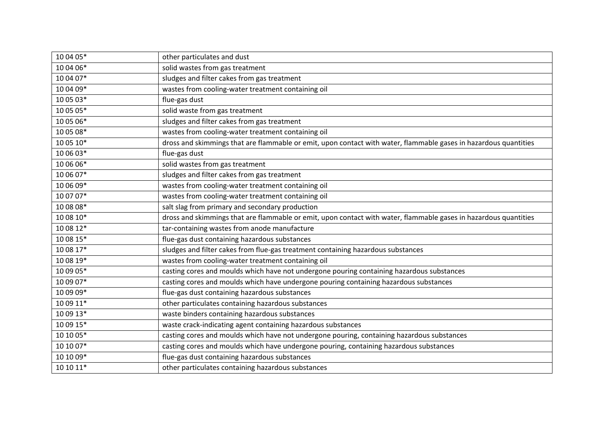| 10 04 05* | other particulates and dust                                                                                      |
|-----------|------------------------------------------------------------------------------------------------------------------|
| 10 04 06* | solid wastes from gas treatment                                                                                  |
| 10 04 07* | sludges and filter cakes from gas treatment                                                                      |
|           |                                                                                                                  |
| 10 04 09* | wastes from cooling-water treatment containing oil                                                               |
| 10 05 03* | flue-gas dust                                                                                                    |
| 10 05 05* | solid waste from gas treatment                                                                                   |
| 10 05 06* | sludges and filter cakes from gas treatment                                                                      |
| 10 05 08* | wastes from cooling-water treatment containing oil                                                               |
| 10 05 10* | dross and skimmings that are flammable or emit, upon contact with water, flammable gases in hazardous quantities |
| 10 06 03* | flue-gas dust                                                                                                    |
| 10 06 06* | solid wastes from gas treatment                                                                                  |
| 10 06 07* | sludges and filter cakes from gas treatment                                                                      |
| 10 06 09* | wastes from cooling-water treatment containing oil                                                               |
| 10 07 07* | wastes from cooling-water treatment containing oil                                                               |
| 10 08 08* | salt slag from primary and secondary production                                                                  |
| 10 08 10* | dross and skimmings that are flammable or emit, upon contact with water, flammable gases in hazardous quantities |
| 10 08 12* | tar-containing wastes from anode manufacture                                                                     |
| 10 08 15* | flue-gas dust containing hazardous substances                                                                    |
| 10 08 17* | sludges and filter cakes from flue-gas treatment containing hazardous substances                                 |
| 10 08 19* | wastes from cooling-water treatment containing oil                                                               |
| 10 09 05* | casting cores and moulds which have not undergone pouring containing hazardous substances                        |
| 10 09 07* | casting cores and moulds which have undergone pouring containing hazardous substances                            |
| 10 09 09* | flue-gas dust containing hazardous substances                                                                    |
| 10 09 11* | other particulates containing hazardous substances                                                               |
| 10 09 13* | waste binders containing hazardous substances                                                                    |
| 10 09 15* | waste crack-indicating agent containing hazardous substances                                                     |
| 10 10 05* | casting cores and moulds which have not undergone pouring, containing hazardous substances                       |
| 10 10 07* | casting cores and moulds which have undergone pouring, containing hazardous substances                           |
| 10 10 09* | flue-gas dust containing hazardous substances                                                                    |
| 10 10 11* | other particulates containing hazardous substances                                                               |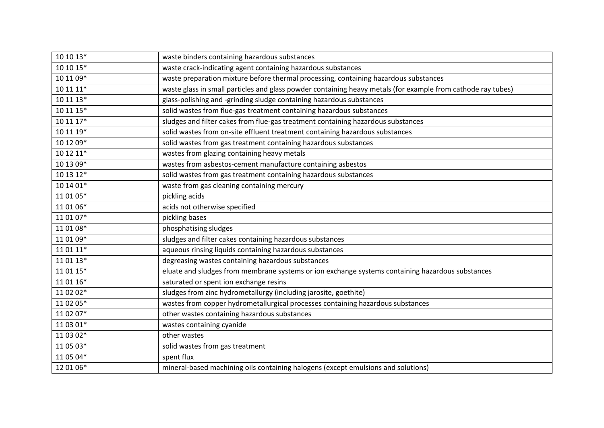| 10 10 13* | waste binders containing hazardous substances                                                                |
|-----------|--------------------------------------------------------------------------------------------------------------|
| 10 10 15* | waste crack-indicating agent containing hazardous substances                                                 |
| 10 11 09* | waste preparation mixture before thermal processing, containing hazardous substances                         |
| 10 11 11* | waste glass in small particles and glass powder containing heavy metals (for example from cathode ray tubes) |
| 10 11 13* | glass-polishing and -grinding sludge containing hazardous substances                                         |
| 10 11 15* | solid wastes from flue-gas treatment containing hazardous substances                                         |
| 10 11 17* | sludges and filter cakes from flue-gas treatment containing hazardous substances                             |
| 10 11 19* | solid wastes from on-site effluent treatment containing hazardous substances                                 |
| 10 12 09* | solid wastes from gas treatment containing hazardous substances                                              |
| 10 12 11* | wastes from glazing containing heavy metals                                                                  |
| 10 13 09* | wastes from asbestos-cement manufacture containing asbestos                                                  |
| $101312*$ | solid wastes from gas treatment containing hazardous substances                                              |
| 10 14 01* | waste from gas cleaning containing mercury                                                                   |
| 11 01 05* | pickling acids                                                                                               |
| 11 01 06* | acids not otherwise specified                                                                                |
| 11 01 07* | pickling bases                                                                                               |
| 11 01 08* | phosphatising sludges                                                                                        |
| 11 01 09* | sludges and filter cakes containing hazardous substances                                                     |
| 11 01 11* | aqueous rinsing liquids containing hazardous substances                                                      |
| 11 01 13* | degreasing wastes containing hazardous substances                                                            |
| 11 01 15* | eluate and sludges from membrane systems or ion exchange systems containing hazardous substances             |
| 11 01 16* | saturated or spent ion exchange resins                                                                       |
| 11 02 02* | sludges from zinc hydrometallurgy (including jarosite, goethite)                                             |
| 11 02 05* | wastes from copper hydrometallurgical processes containing hazardous substances                              |
| 11 02 07* | other wastes containing hazardous substances                                                                 |
| 11 03 01* | wastes containing cyanide                                                                                    |
| 11 03 02* | other wastes                                                                                                 |
| 11 05 03* | solid wastes from gas treatment                                                                              |
| 11 05 04* | spent flux                                                                                                   |
| 12 01 06* | mineral-based machining oils containing halogens (except emulsions and solutions)                            |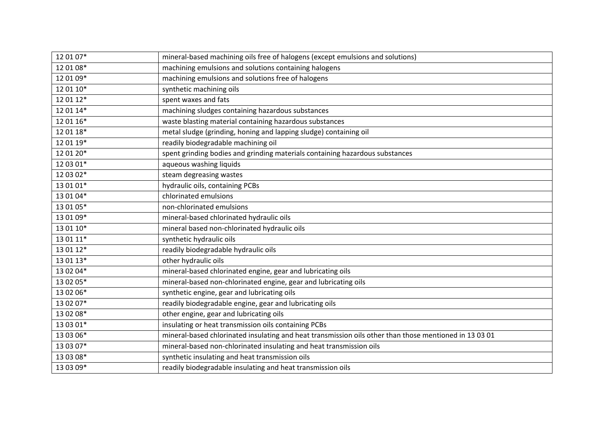| 12 01 07* | mineral-based machining oils free of halogens (except emulsions and solutions)                         |
|-----------|--------------------------------------------------------------------------------------------------------|
| 12 01 08* | machining emulsions and solutions containing halogens                                                  |
| 12 01 09* | machining emulsions and solutions free of halogens                                                     |
| 12 01 10* | synthetic machining oils                                                                               |
| 12 01 12* | spent waxes and fats                                                                                   |
| 12 01 14* | machining sludges containing hazardous substances                                                      |
| 12 01 16* | waste blasting material containing hazardous substances                                                |
| 12 01 18* | metal sludge (grinding, honing and lapping sludge) containing oil                                      |
| 12 01 19* | readily biodegradable machining oil                                                                    |
| 12 01 20* | spent grinding bodies and grinding materials containing hazardous substances                           |
| 12 03 01* | aqueous washing liquids                                                                                |
| 12 03 02* | steam degreasing wastes                                                                                |
| 13 01 01* | hydraulic oils, containing PCBs                                                                        |
| 13 01 04* | chlorinated emulsions                                                                                  |
| 13 01 05* | non-chlorinated emulsions                                                                              |
| 13 01 09* | mineral-based chlorinated hydraulic oils                                                               |
| 13 01 10* | mineral based non-chlorinated hydraulic oils                                                           |
| 13 01 11* | synthetic hydraulic oils                                                                               |
| 13 01 12* | readily biodegradable hydraulic oils                                                                   |
| 13 01 13* | other hydraulic oils                                                                                   |
| 13 02 04* | mineral-based chlorinated engine, gear and lubricating oils                                            |
| 13 02 05* | mineral-based non-chlorinated engine, gear and lubricating oils                                        |
| 13 02 06* | synthetic engine, gear and lubricating oils                                                            |
| 13 02 07* | readily biodegradable engine, gear and lubricating oils                                                |
| 13 02 08* | other engine, gear and lubricating oils                                                                |
| 13 03 01* | insulating or heat transmission oils containing PCBs                                                   |
| 13 03 06* | mineral-based chlorinated insulating and heat transmission oils other than those mentioned in 13 03 01 |
| 13 03 07* | mineral-based non-chlorinated insulating and heat transmission oils                                    |
| 13 03 08* | synthetic insulating and heat transmission oils                                                        |
| 13 03 09* | readily biodegradable insulating and heat transmission oils                                            |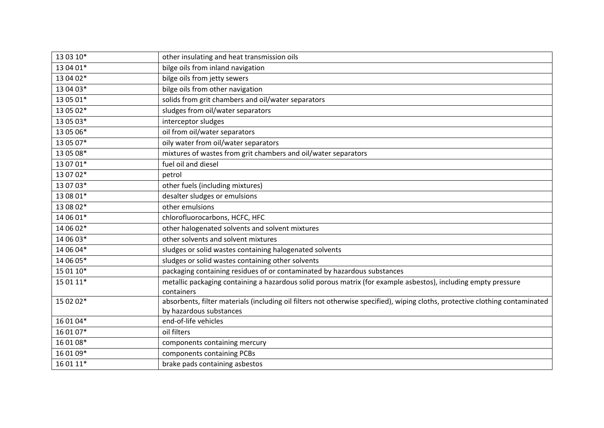| 13 03 10* | other insulating and heat transmission oils                                                                                   |
|-----------|-------------------------------------------------------------------------------------------------------------------------------|
| 13 04 01* | bilge oils from inland navigation                                                                                             |
| 13 04 02* | bilge oils from jetty sewers                                                                                                  |
| 13 04 03* | bilge oils from other navigation                                                                                              |
| 13 05 01* | solids from grit chambers and oil/water separators                                                                            |
| 13 05 02* | sludges from oil/water separators                                                                                             |
| 13 05 03* | interceptor sludges                                                                                                           |
| 13 05 06* | oil from oil/water separators                                                                                                 |
| 13 05 07* | oily water from oil/water separators                                                                                          |
| 13 05 08* | mixtures of wastes from grit chambers and oil/water separators                                                                |
| 13 07 01* | fuel oil and diesel                                                                                                           |
| 13 07 02* | petrol                                                                                                                        |
| 13 07 03* | other fuels (including mixtures)                                                                                              |
| 13 08 01* | desalter sludges or emulsions                                                                                                 |
| 13 08 02* | other emulsions                                                                                                               |
| 14 06 01* | chlorofluorocarbons, HCFC, HFC                                                                                                |
| 14 06 02* | other halogenated solvents and solvent mixtures                                                                               |
| 14 06 03* | other solvents and solvent mixtures                                                                                           |
| 14 06 04* | sludges or solid wastes containing halogenated solvents                                                                       |
| 14 06 05* | sludges or solid wastes containing other solvents                                                                             |
| 15 01 10* | packaging containing residues of or contaminated by hazardous substances                                                      |
| 15 01 11* | metallic packaging containing a hazardous solid porous matrix (for example asbestos), including empty pressure                |
|           | containers                                                                                                                    |
| 15 02 02* | absorbents, filter materials (including oil filters not otherwise specified), wiping cloths, protective clothing contaminated |
|           | by hazardous substances                                                                                                       |
| 16 01 04* | end-of-life vehicles                                                                                                          |
| 16 01 07* | oil filters                                                                                                                   |
| 16 01 08* | components containing mercury                                                                                                 |
| 16 01 09* | components containing PCBs                                                                                                    |
| 16 01 11* | brake pads containing asbestos                                                                                                |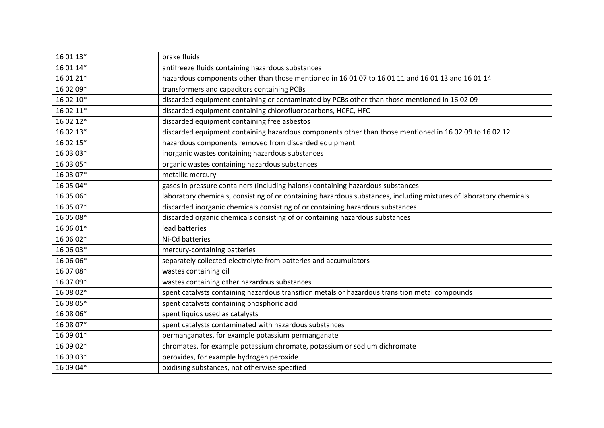| 16 01 13* | brake fluids                                                                                                       |
|-----------|--------------------------------------------------------------------------------------------------------------------|
| 16 01 14* | antifreeze fluids containing hazardous substances                                                                  |
| 16 01 21* | hazardous components other than those mentioned in 16 01 07 to 16 01 11 and 16 01 13 and 16 01 14                  |
| 16 02 09* | transformers and capacitors containing PCBs                                                                        |
| 16 02 10* | discarded equipment containing or contaminated by PCBs other than those mentioned in 16 02 09                      |
| 16 02 11* | discarded equipment containing chlorofluorocarbons, HCFC, HFC                                                      |
| 16 02 12* | discarded equipment containing free asbestos                                                                       |
| 16 02 13* | discarded equipment containing hazardous components other than those mentioned in 16 02 09 to 16 02 12             |
| 16 02 15* | hazardous components removed from discarded equipment                                                              |
| 16 03 03* | inorganic wastes containing hazardous substances                                                                   |
| 16 03 05* | organic wastes containing hazardous substances                                                                     |
| 16 03 07* | metallic mercury                                                                                                   |
| 16 05 04* | gases in pressure containers (including halons) containing hazardous substances                                    |
| 16 05 06* | laboratory chemicals, consisting of or containing hazardous substances, including mixtures of laboratory chemicals |
| 16 05 07* | discarded inorganic chemicals consisting of or containing hazardous substances                                     |
| 16 05 08* | discarded organic chemicals consisting of or containing hazardous substances                                       |
| 16 06 01* | lead batteries                                                                                                     |
| 16 06 02* | Ni-Cd batteries                                                                                                    |
| 16 06 03* | mercury-containing batteries                                                                                       |
| 16 06 06* | separately collected electrolyte from batteries and accumulators                                                   |
| 16 07 08* | wastes containing oil                                                                                              |
| 16 07 09* | wastes containing other hazardous substances                                                                       |
| 16 08 02* | spent catalysts containing hazardous transition metals or hazardous transition metal compounds                     |
| 16 08 05* | spent catalysts containing phosphoric acid                                                                         |
| 16 08 06* | spent liquids used as catalysts                                                                                    |
| 16 08 07* | spent catalysts contaminated with hazardous substances                                                             |
| 16 09 01* | permanganates, for example potassium permanganate                                                                  |
| 16 09 02* | chromates, for example potassium chromate, potassium or sodium dichromate                                          |
| 16 09 03* | peroxides, for example hydrogen peroxide                                                                           |
| 16 09 04* | oxidising substances, not otherwise specified                                                                      |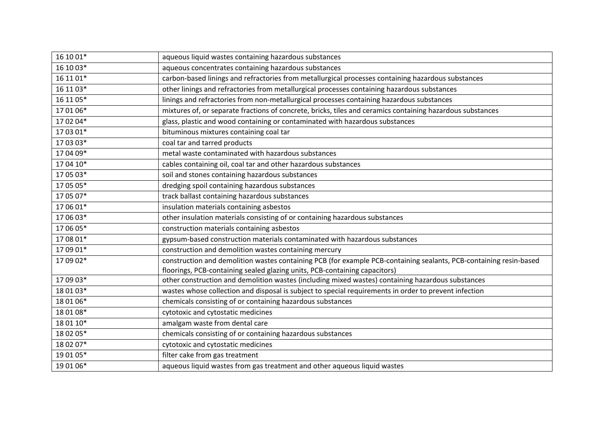| 16 10 01* | aqueous liquid wastes containing hazardous substances                                                              |
|-----------|--------------------------------------------------------------------------------------------------------------------|
| 16 10 03* | aqueous concentrates containing hazardous substances                                                               |
| 16 11 01* | carbon-based linings and refractories from metallurgical processes containing hazardous substances                 |
| 16 11 03* | other linings and refractories from metallurgical processes containing hazardous substances                        |
| 16 11 05* | linings and refractories from non-metallurgical processes containing hazardous substances                          |
| 17 01 06* | mixtures of, or separate fractions of concrete, bricks, tiles and ceramics containing hazardous substances         |
| 17 02 04* | glass, plastic and wood containing or contaminated with hazardous substances                                       |
| 17 03 01* | bituminous mixtures containing coal tar                                                                            |
| 17 03 03* | coal tar and tarred products                                                                                       |
| 17 04 09* | metal waste contaminated with hazardous substances                                                                 |
| 17 04 10* | cables containing oil, coal tar and other hazardous substances                                                     |
| 17 05 03* | soil and stones containing hazardous substances                                                                    |
| 17 05 05* | dredging spoil containing hazardous substances                                                                     |
| 17 05 07* | track ballast containing hazardous substances                                                                      |
| 17 06 01* | insulation materials containing asbestos                                                                           |
| 17 06 03* | other insulation materials consisting of or containing hazardous substances                                        |
| 17 06 05* | construction materials containing asbestos                                                                         |
| 17 08 01* | gypsum-based construction materials contaminated with hazardous substances                                         |
| 17 09 01* | construction and demolition wastes containing mercury                                                              |
| 17 09 02* | construction and demolition wastes containing PCB (for example PCB-containing sealants, PCB-containing resin-based |
|           | floorings, PCB-containing sealed glazing units, PCB-containing capacitors)                                         |
| 17 09 03* | other construction and demolition wastes (including mixed wastes) containing hazardous substances                  |
| 18 01 03* | wastes whose collection and disposal is subject to special requirements in order to prevent infection              |
| 18 01 06* | chemicals consisting of or containing hazardous substances                                                         |
| 18 01 08* | cytotoxic and cytostatic medicines                                                                                 |
| 18 01 10* | amalgam waste from dental care                                                                                     |
| 18 02 05* | chemicals consisting of or containing hazardous substances                                                         |
| 18 02 07* | cytotoxic and cytostatic medicines                                                                                 |
| 19 01 05* | filter cake from gas treatment                                                                                     |
| 19 01 06* | aqueous liquid wastes from gas treatment and other aqueous liquid wastes                                           |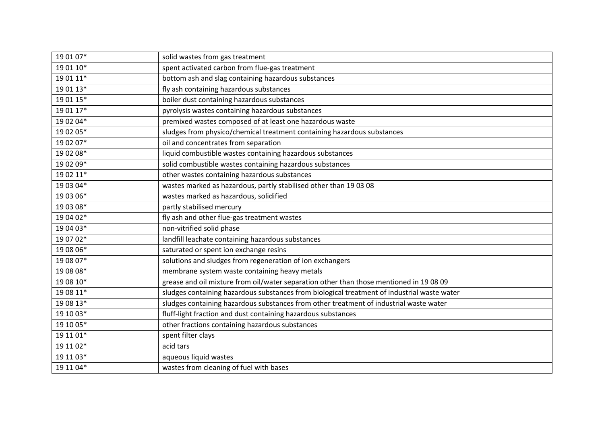| 19 01 07* | solid wastes from gas treatment                                                             |
|-----------|---------------------------------------------------------------------------------------------|
| 19 01 10* | spent activated carbon from flue-gas treatment                                              |
| 19 01 11* | bottom ash and slag containing hazardous substances                                         |
| 19 01 13* | fly ash containing hazardous substances                                                     |
| 19 01 15* | boiler dust containing hazardous substances                                                 |
| 19 01 17* | pyrolysis wastes containing hazardous substances                                            |
| 19 02 04* | premixed wastes composed of at least one hazardous waste                                    |
| 19 02 05* | sludges from physico/chemical treatment containing hazardous substances                     |
| 19 02 07* | oil and concentrates from separation                                                        |
| 19 02 08* | liquid combustible wastes containing hazardous substances                                   |
| 19 02 09* | solid combustible wastes containing hazardous substances                                    |
| 19 02 11* | other wastes containing hazardous substances                                                |
| 19 03 04* | wastes marked as hazardous, partly stabilised other than 19 03 08                           |
| 19 03 06* | wastes marked as hazardous, solidified                                                      |
| 19 03 08* | partly stabilised mercury                                                                   |
| 19 04 02* | fly ash and other flue-gas treatment wastes                                                 |
| 19 04 03* | non-vitrified solid phase                                                                   |
| 19 07 02* | landfill leachate containing hazardous substances                                           |
| 19 08 06* | saturated or spent ion exchange resins                                                      |
| 19 08 07* | solutions and sludges from regeneration of ion exchangers                                   |
| 19 08 08* | membrane system waste containing heavy metals                                               |
| 19 08 10* | grease and oil mixture from oil/water separation other than those mentioned in 19 08 09     |
| 19 08 11* | sludges containing hazardous substances from biological treatment of industrial waste water |
| 19 08 13* | sludges containing hazardous substances from other treatment of industrial waste water      |
| 19 10 03* | fluff-light fraction and dust containing hazardous substances                               |
| 19 10 05* | other fractions containing hazardous substances                                             |
| 19 11 01* | spent filter clays                                                                          |
| 19 11 02* | acid tars                                                                                   |
| 19 11 03* | aqueous liquid wastes                                                                       |
| 19 11 04* | wastes from cleaning of fuel with bases                                                     |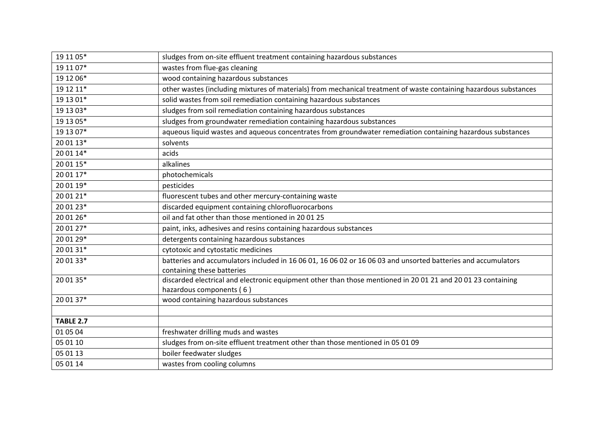| 19 11 05*        | sludges from on-site effluent treatment containing hazardous substances                                           |
|------------------|-------------------------------------------------------------------------------------------------------------------|
| 19 11 07*        | wastes from flue-gas cleaning                                                                                     |
| 19 12 06*        | wood containing hazardous substances                                                                              |
| 19 12 11*        | other wastes (including mixtures of materials) from mechanical treatment of waste containing hazardous substances |
| 19 13 01*        | solid wastes from soil remediation containing hazardous substances                                                |
| 19 13 03*        | sludges from soil remediation containing hazardous substances                                                     |
| 19 13 05*        | sludges from groundwater remediation containing hazardous substances                                              |
| 19 13 07*        | aqueous liquid wastes and aqueous concentrates from groundwater remediation containing hazardous substances       |
| 20 01 13*        | solvents                                                                                                          |
| 20 01 14*        | acids                                                                                                             |
| 20 01 15*        | alkalines                                                                                                         |
| 20 01 17*        | photochemicals                                                                                                    |
| 20 01 19*        | pesticides                                                                                                        |
| 20 01 21*        | fluorescent tubes and other mercury-containing waste                                                              |
| 20 01 23*        | discarded equipment containing chlorofluorocarbons                                                                |
| 20 01 26*        | oil and fat other than those mentioned in 20 01 25                                                                |
| 20 01 27*        | paint, inks, adhesives and resins containing hazardous substances                                                 |
| 20 01 29*        | detergents containing hazardous substances                                                                        |
| 20 01 31*        | cytotoxic and cytostatic medicines                                                                                |
| 20 01 33*        | batteries and accumulators included in 16 06 01, 16 06 02 or 16 06 03 and unsorted batteries and accumulators     |
|                  | containing these batteries                                                                                        |
| 20 01 35*        | discarded electrical and electronic equipment other than those mentioned in 20 01 21 and 20 01 23 containing      |
|                  | hazardous components (6)                                                                                          |
| 20 01 37*        | wood containing hazardous substances                                                                              |
|                  |                                                                                                                   |
| <b>TABLE 2.7</b> |                                                                                                                   |
| 01 05 04         | freshwater drilling muds and wastes                                                                               |
| 05 01 10         | sludges from on-site effluent treatment other than those mentioned in 05 01 09                                    |
| 05 01 13         | boiler feedwater sludges                                                                                          |
| 05 01 14         | wastes from cooling columns                                                                                       |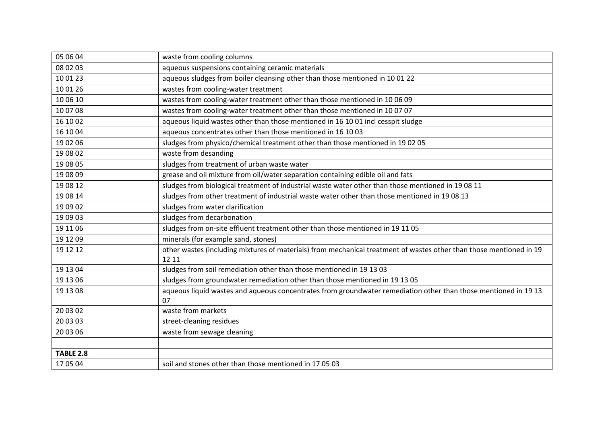| 05 06 04         | waste from cooling columns                                                                                                   |
|------------------|------------------------------------------------------------------------------------------------------------------------------|
| 08 02 03         | aqueous suspensions containing ceramic materials                                                                             |
| 10 01 23         | aqueous sludges from boiler cleansing other than those mentioned in 10 01 22                                                 |
| 10 01 26         | wastes from cooling-water treatment                                                                                          |
| 10 06 10         | wastes from cooling-water treatment other than those mentioned in 10 06 09                                                   |
| 10 07 08         | wastes from cooling-water treatment other than those mentioned in 10 07 07                                                   |
| 16 10 02         | aqueous liquid wastes other than those mentioned in 16 10 01 incl cesspit sludge                                             |
| 16 10 04         | aqueous concentrates other than those mentioned in 16 10 03                                                                  |
| 19 02 06         | sludges from physico/chemical treatment other than those mentioned in 19 02 05                                               |
| 19 08 02         | waste from desanding                                                                                                         |
| 19 08 05         | sludges from treatment of urban waste water                                                                                  |
| 19 08 09         | grease and oil mixture from oil/water separation containing edible oil and fats                                              |
| 19 08 12         | sludges from biological treatment of industrial waste water other than those mentioned in 19 08 11                           |
| 19 08 14         | sludges from other treatment of industrial waste water other than those mentioned in 19 08 13                                |
| 19 09 02         | sludges from water clarification                                                                                             |
| 19 09 03         | sludges from decarbonation                                                                                                   |
| 19 11 06         | sludges from on-site effluent treatment other than those mentioned in 19 11 05                                               |
| 19 12 09         | minerals (for example sand, stones)                                                                                          |
| 19 12 12         | other wastes (including mixtures of materials) from mechanical treatment of wastes other than those mentioned in 19<br>12 11 |
| 19 13 04         | sludges from soil remediation other than those mentioned in 19 13 03                                                         |
| 19 13 06         | sludges from groundwater remediation other than those mentioned in 19 13 05                                                  |
| 19 13 08         | aqueous liquid wastes and aqueous concentrates from groundwater remediation other than those mentioned in 1913<br>07         |
| 20 03 02         | waste from markets                                                                                                           |
| 20 03 03         | street-cleaning residues                                                                                                     |
| 20 03 06         | waste from sewage cleaning                                                                                                   |
|                  |                                                                                                                              |
| <b>TABLE 2.8</b> |                                                                                                                              |
| 17 05 04         | soil and stones other than those mentioned in 17 05 03                                                                       |
|                  |                                                                                                                              |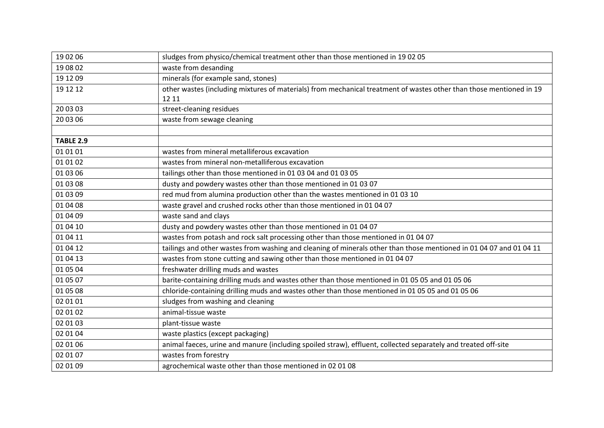| 19 02 06         | sludges from physico/chemical treatment other than those mentioned in 19 02 05                                      |
|------------------|---------------------------------------------------------------------------------------------------------------------|
| 19 08 02         | waste from desanding                                                                                                |
| 19 12 09         | minerals (for example sand, stones)                                                                                 |
| 19 12 12         | other wastes (including mixtures of materials) from mechanical treatment of wastes other than those mentioned in 19 |
|                  | 12 11                                                                                                               |
| 20 03 03         | street-cleaning residues                                                                                            |
| 20 03 06         | waste from sewage cleaning                                                                                          |
|                  |                                                                                                                     |
| <b>TABLE 2.9</b> |                                                                                                                     |
| 01 01 01         | wastes from mineral metalliferous excavation                                                                        |
| 01 01 02         | wastes from mineral non-metalliferous excavation                                                                    |
| 01 03 06         | tailings other than those mentioned in 01 03 04 and 01 03 05                                                        |
| 01 03 08         | dusty and powdery wastes other than those mentioned in 01 03 07                                                     |
| 01 03 09         | red mud from alumina production other than the wastes mentioned in 01 03 10                                         |
| 01 04 08         | waste gravel and crushed rocks other than those mentioned in 01 04 07                                               |
| 01 04 09         | waste sand and clays                                                                                                |
| 01 04 10         | dusty and powdery wastes other than those mentioned in 01 04 07                                                     |
| 01 04 11         | wastes from potash and rock salt processing other than those mentioned in 01 04 07                                  |
| 01 04 12         | tailings and other wastes from washing and cleaning of minerals other than those mentioned in 01 04 07 and 01 04 11 |
| 01 04 13         | wastes from stone cutting and sawing other than those mentioned in 01 04 07                                         |
| 01 05 04         | freshwater drilling muds and wastes                                                                                 |
| 01 05 07         | barite-containing drilling muds and wastes other than those mentioned in 01 05 05 and 01 05 06                      |
| 01 05 08         | chloride-containing drilling muds and wastes other than those mentioned in 01 05 05 and 01 05 06                    |
| 02 01 01         | sludges from washing and cleaning                                                                                   |
| 02 01 02         | animal-tissue waste                                                                                                 |
| 02 01 03         | plant-tissue waste                                                                                                  |
| 02 01 04         | waste plastics (except packaging)                                                                                   |
| 02 01 06         | animal faeces, urine and manure (including spoiled straw), effluent, collected separately and treated off-site      |
| 02 01 07         | wastes from forestry                                                                                                |
| 02 01 09         | agrochemical waste other than those mentioned in 02 01 08                                                           |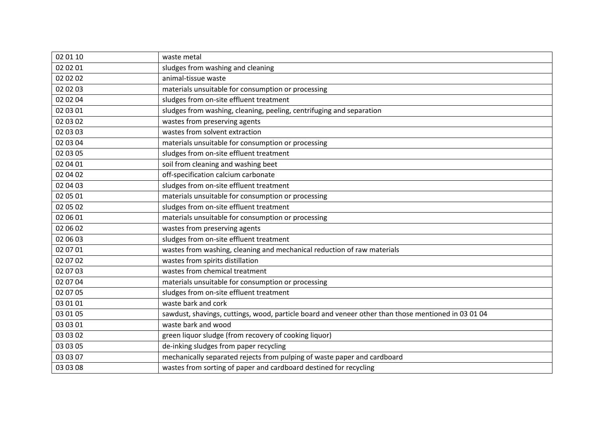| 02 01 10 | waste metal                                                                                         |
|----------|-----------------------------------------------------------------------------------------------------|
| 02 02 01 | sludges from washing and cleaning                                                                   |
| 02 02 02 | animal-tissue waste                                                                                 |
| 02 02 03 | materials unsuitable for consumption or processing                                                  |
| 02 02 04 | sludges from on-site effluent treatment                                                             |
| 02 03 01 | sludges from washing, cleaning, peeling, centrifuging and separation                                |
| 02 03 02 | wastes from preserving agents                                                                       |
| 02 03 03 | wastes from solvent extraction                                                                      |
| 02 03 04 | materials unsuitable for consumption or processing                                                  |
| 02 03 05 | sludges from on-site effluent treatment                                                             |
| 02 04 01 | soil from cleaning and washing beet                                                                 |
| 02 04 02 | off-specification calcium carbonate                                                                 |
| 02 04 03 | sludges from on-site effluent treatment                                                             |
| 02 05 01 | materials unsuitable for consumption or processing                                                  |
| 02 05 02 | sludges from on-site effluent treatment                                                             |
| 02 06 01 | materials unsuitable for consumption or processing                                                  |
| 02 06 02 | wastes from preserving agents                                                                       |
| 02 06 03 | sludges from on-site effluent treatment                                                             |
| 02 07 01 | wastes from washing, cleaning and mechanical reduction of raw materials                             |
| 02 07 02 | wastes from spirits distillation                                                                    |
| 02 07 03 | wastes from chemical treatment                                                                      |
| 02 07 04 | materials unsuitable for consumption or processing                                                  |
| 02 07 05 | sludges from on-site effluent treatment                                                             |
| 03 01 01 | waste bark and cork                                                                                 |
| 03 01 05 | sawdust, shavings, cuttings, wood, particle board and veneer other than those mentioned in 03 01 04 |
| 03 03 01 | waste bark and wood                                                                                 |
| 03 03 02 | green liquor sludge (from recovery of cooking liquor)                                               |
| 03 03 05 | de-inking sludges from paper recycling                                                              |
| 03 03 07 | mechanically separated rejects from pulping of waste paper and cardboard                            |
| 03 03 08 | wastes from sorting of paper and cardboard destined for recycling                                   |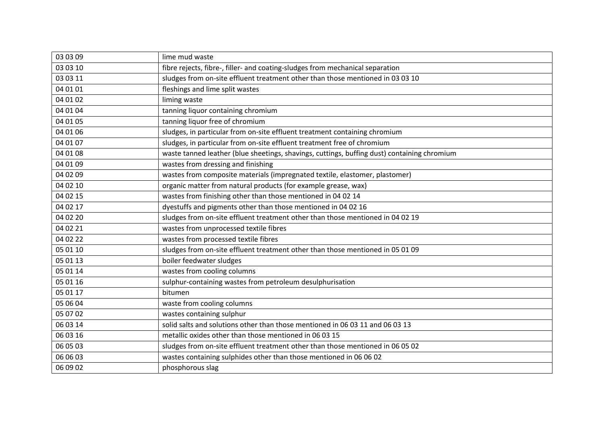| 03 03 09 | lime mud waste                                                                              |
|----------|---------------------------------------------------------------------------------------------|
| 03 03 10 | fibre rejects, fibre-, filler- and coating-sludges from mechanical separation               |
| 03 03 11 | sludges from on-site effluent treatment other than those mentioned in 03 03 10              |
| 04 01 01 | fleshings and lime split wastes                                                             |
| 04 01 02 | liming waste                                                                                |
| 04 01 04 | tanning liquor containing chromium                                                          |
| 04 01 05 | tanning liquor free of chromium                                                             |
| 04 01 06 | sludges, in particular from on-site effluent treatment containing chromium                  |
| 04 01 07 | sludges, in particular from on-site effluent treatment free of chromium                     |
| 04 01 08 | waste tanned leather (blue sheetings, shavings, cuttings, buffing dust) containing chromium |
| 04 01 09 | wastes from dressing and finishing                                                          |
| 04 02 09 | wastes from composite materials (impregnated textile, elastomer, plastomer)                 |
| 04 02 10 | organic matter from natural products (for example grease, wax)                              |
| 04 02 15 | wastes from finishing other than those mentioned in 04 02 14                                |
| 04 02 17 | dyestuffs and pigments other than those mentioned in 04 02 16                               |
| 04 02 20 | sludges from on-site effluent treatment other than those mentioned in 04 02 19              |
| 04 02 21 | wastes from unprocessed textile fibres                                                      |
| 04 02 22 | wastes from processed textile fibres                                                        |
| 05 01 10 | sludges from on-site effluent treatment other than those mentioned in 05 01 09              |
| 05 01 13 | boiler feedwater sludges                                                                    |
| 05 01 14 | wastes from cooling columns                                                                 |
| 05 01 16 | sulphur-containing wastes from petroleum desulphurisation                                   |
| 05 01 17 | bitumen                                                                                     |
| 05 06 04 | waste from cooling columns                                                                  |
| 05 07 02 | wastes containing sulphur                                                                   |
| 06 03 14 | solid salts and solutions other than those mentioned in 06 03 11 and 06 03 13               |
| 06 03 16 | metallic oxides other than those mentioned in 06 03 15                                      |
| 06 05 03 | sludges from on-site effluent treatment other than those mentioned in 06 05 02              |
| 06 06 03 | wastes containing sulphides other than those mentioned in 06 06 02                          |
| 06 09 02 | phosphorous slag                                                                            |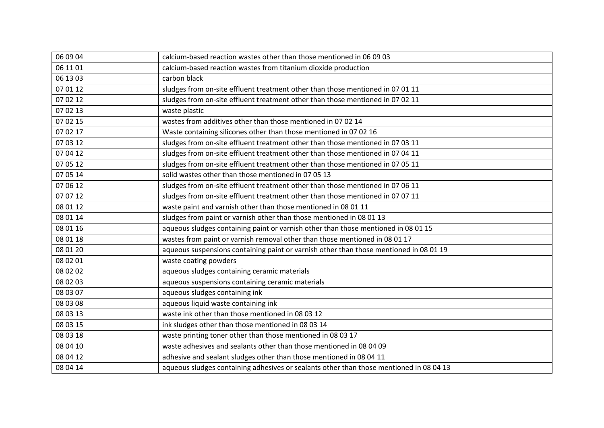| 06 09 04 | calcium-based reaction wastes other than those mentioned in 06 09 03                    |
|----------|-----------------------------------------------------------------------------------------|
| 06 11 01 | calcium-based reaction wastes from titanium dioxide production                          |
| 06 13 03 | carbon black                                                                            |
| 07 01 12 | sludges from on-site effluent treatment other than those mentioned in 07 01 11          |
| 07 02 12 | sludges from on-site effluent treatment other than those mentioned in 07 02 11          |
| 07 02 13 | waste plastic                                                                           |
| 07 02 15 | wastes from additives other than those mentioned in 07 02 14                            |
| 07 02 17 | Waste containing silicones other than those mentioned in 07 02 16                       |
| 07 03 12 | sludges from on-site effluent treatment other than those mentioned in 07 03 11          |
| 07 04 12 | sludges from on-site effluent treatment other than those mentioned in 07 04 11          |
| 07 05 12 | sludges from on-site effluent treatment other than those mentioned in 07 05 11          |
| 07 05 14 | solid wastes other than those mentioned in 07 05 13                                     |
| 07 06 12 | sludges from on-site effluent treatment other than those mentioned in 07 06 11          |
| 07 07 12 | sludges from on-site effluent treatment other than those mentioned in 07 07 11          |
| 08 01 12 | waste paint and varnish other than those mentioned in 08 01 11                          |
| 08 01 14 | sludges from paint or varnish other than those mentioned in 08 01 13                    |
| 08 01 16 | aqueous sludges containing paint or varnish other than those mentioned in 08 01 15      |
| 08 01 18 | wastes from paint or varnish removal other than those mentioned in 08 01 17             |
| 08 01 20 | aqueous suspensions containing paint or varnish other than those mentioned in 08 01 19  |
| 08 02 01 | waste coating powders                                                                   |
| 08 02 02 | aqueous sludges containing ceramic materials                                            |
| 08 02 03 | aqueous suspensions containing ceramic materials                                        |
| 08 03 07 | aqueous sludges containing ink                                                          |
| 08 03 08 | aqueous liquid waste containing ink                                                     |
| 08 03 13 | waste ink other than those mentioned in 08 03 12                                        |
| 08 03 15 | ink sludges other than those mentioned in 08 03 14                                      |
| 08 03 18 | waste printing toner other than those mentioned in 08 03 17                             |
| 08 04 10 | waste adhesives and sealants other than those mentioned in 08 04 09                     |
| 08 04 12 | adhesive and sealant sludges other than those mentioned in 08 04 11                     |
| 08 04 14 | aqueous sludges containing adhesives or sealants other than those mentioned in 08 04 13 |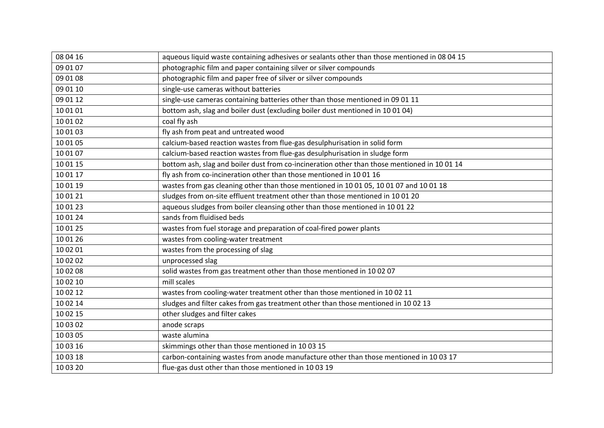| 08 04 16 | aqueous liquid waste containing adhesives or sealants other than those mentioned in 08 04 15 |
|----------|----------------------------------------------------------------------------------------------|
| 09 01 07 | photographic film and paper containing silver or silver compounds                            |
| 09 01 08 | photographic film and paper free of silver or silver compounds                               |
| 09 01 10 | single-use cameras without batteries                                                         |
| 09 01 12 | single-use cameras containing batteries other than those mentioned in 09 01 11               |
| 10 01 01 | bottom ash, slag and boiler dust (excluding boiler dust mentioned in 10 01 04)               |
| 10 01 02 | coal fly ash                                                                                 |
| 10 01 03 | fly ash from peat and untreated wood                                                         |
| 10 01 05 | calcium-based reaction wastes from flue-gas desulphurisation in solid form                   |
| 10 01 07 | calcium-based reaction wastes from flue-gas desulphurisation in sludge form                  |
| 10 01 15 | bottom ash, slag and boiler dust from co-incineration other than those mentioned in 10 01 14 |
| 10 01 17 | fly ash from co-incineration other than those mentioned in 10 01 16                          |
| 10 01 19 | wastes from gas cleaning other than those mentioned in 10 01 05, 10 01 07 and 10 01 18       |
| 10 01 21 | sludges from on-site effluent treatment other than those mentioned in 10 01 20               |
| 10 01 23 | aqueous sludges from boiler cleansing other than those mentioned in 10 01 22                 |
| 10 01 24 | sands from fluidised beds                                                                    |
| 10 01 25 | wastes from fuel storage and preparation of coal-fired power plants                          |
| 10 01 26 | wastes from cooling-water treatment                                                          |
| 10 02 01 | wastes from the processing of slag                                                           |
| 10 02 02 | unprocessed slag                                                                             |
| 10 02 08 | solid wastes from gas treatment other than those mentioned in 10 02 07                       |
| 10 02 10 | mill scales                                                                                  |
| 10 02 12 | wastes from cooling-water treatment other than those mentioned in 10 02 11                   |
| 10 02 14 | sludges and filter cakes from gas treatment other than those mentioned in 10 02 13           |
| 10 02 15 | other sludges and filter cakes                                                               |
| 10 03 02 | anode scraps                                                                                 |
| 10 03 05 | waste alumina                                                                                |
| 10 03 16 | skimmings other than those mentioned in 10 03 15                                             |
| 10 03 18 | carbon-containing wastes from anode manufacture other than those mentioned in 10 03 17       |
| 10 03 20 | flue-gas dust other than those mentioned in 10 03 19                                         |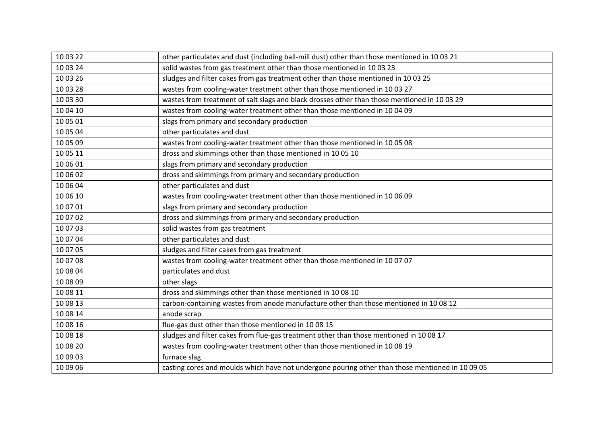| 10 03 22 | other particulates and dust (including ball-mill dust) other than those mentioned in 10 03 21    |
|----------|--------------------------------------------------------------------------------------------------|
| 10 03 24 | solid wastes from gas treatment other than those mentioned in 10 03 23                           |
| 10 03 26 | sludges and filter cakes from gas treatment other than those mentioned in 10 03 25               |
| 10 03 28 | wastes from cooling-water treatment other than those mentioned in 10 03 27                       |
| 10 03 30 | wastes from treatment of salt slags and black drosses other than those mentioned in 10 03 29     |
| 10 04 10 | wastes from cooling-water treatment other than those mentioned in 10 04 09                       |
| 10 05 01 | slags from primary and secondary production                                                      |
| 10 05 04 | other particulates and dust                                                                      |
| 10 05 09 | wastes from cooling-water treatment other than those mentioned in 10 05 08                       |
| 10 05 11 | dross and skimmings other than those mentioned in 10 05 10                                       |
| 10 06 01 | slags from primary and secondary production                                                      |
| 10 06 02 | dross and skimmings from primary and secondary production                                        |
| 10 06 04 | other particulates and dust                                                                      |
| 10 06 10 | wastes from cooling-water treatment other than those mentioned in 10 06 09                       |
| 10 07 01 | slags from primary and secondary production                                                      |
| 10 07 02 | dross and skimmings from primary and secondary production                                        |
| 10 07 03 | solid wastes from gas treatment                                                                  |
| 10 07 04 | other particulates and dust                                                                      |
| 10 07 05 | sludges and filter cakes from gas treatment                                                      |
| 10 07 08 | wastes from cooling-water treatment other than those mentioned in 10 07 07                       |
| 10 08 04 | particulates and dust                                                                            |
| 10 08 09 | other slags                                                                                      |
| 10 08 11 | dross and skimmings other than those mentioned in 10 08 10                                       |
| 10 08 13 | carbon-containing wastes from anode manufacture other than those mentioned in 10 08 12           |
| 10 08 14 | anode scrap                                                                                      |
| 10 08 16 | flue-gas dust other than those mentioned in 10 08 15                                             |
| 10 08 18 | sludges and filter cakes from flue-gas treatment other than those mentioned in 10 08 17          |
| 10 08 20 | wastes from cooling-water treatment other than those mentioned in 10 08 19                       |
| 10 09 03 | furnace slag                                                                                     |
| 10 09 06 | casting cores and moulds which have not undergone pouring other than those mentioned in 10 09 05 |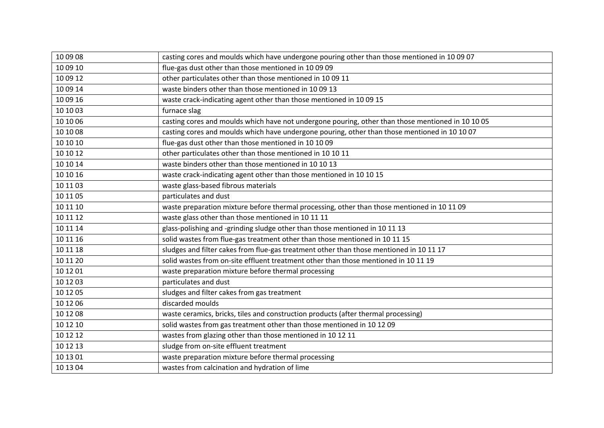| 10 09 08 | casting cores and moulds which have undergone pouring other than those mentioned in 10 09 07      |
|----------|---------------------------------------------------------------------------------------------------|
| 10 09 10 | flue-gas dust other than those mentioned in 10 09 09                                              |
| 10 09 12 | other particulates other than those mentioned in 10 09 11                                         |
| 10 09 14 | waste binders other than those mentioned in 10 09 13                                              |
| 10 09 16 | waste crack-indicating agent other than those mentioned in 10 09 15                               |
| 10 10 03 | furnace slag                                                                                      |
| 10 10 06 | casting cores and moulds which have not undergone pouring, other than those mentioned in 10 10 05 |
| 10 10 08 | casting cores and moulds which have undergone pouring, other than those mentioned in 10 10 07     |
| 10 10 10 | flue-gas dust other than those mentioned in 10 10 09                                              |
| 10 10 12 | other particulates other than those mentioned in 10 10 11                                         |
| 10 10 14 | waste binders other than those mentioned in 10 10 13                                              |
| 10 10 16 | waste crack-indicating agent other than those mentioned in 10 10 15                               |
| 10 11 03 | waste glass-based fibrous materials                                                               |
| 10 11 05 | particulates and dust                                                                             |
| 10 11 10 | waste preparation mixture before thermal processing, other than those mentioned in 10 11 09       |
| 10 11 12 | waste glass other than those mentioned in 10 11 11                                                |
| 10 11 14 | glass-polishing and -grinding sludge other than those mentioned in 10 11 13                       |
| 10 11 16 | solid wastes from flue-gas treatment other than those mentioned in 10 11 15                       |
| 10 11 18 | sludges and filter cakes from flue-gas treatment other than those mentioned in 10 11 17           |
| 10 11 20 | solid wastes from on-site effluent treatment other than those mentioned in 10 11 19               |
| 10 12 01 | waste preparation mixture before thermal processing                                               |
| 10 12 03 | particulates and dust                                                                             |
| 10 12 05 | sludges and filter cakes from gas treatment                                                       |
| 10 12 06 | discarded moulds                                                                                  |
| 10 12 08 | waste ceramics, bricks, tiles and construction products (after thermal processing)                |
| 10 12 10 | solid wastes from gas treatment other than those mentioned in 10 12 09                            |
| 10 12 12 | wastes from glazing other than those mentioned in 10 12 11                                        |
| 10 12 13 | sludge from on-site effluent treatment                                                            |
| 10 13 01 | waste preparation mixture before thermal processing                                               |
| 10 13 04 | wastes from calcination and hydration of lime                                                     |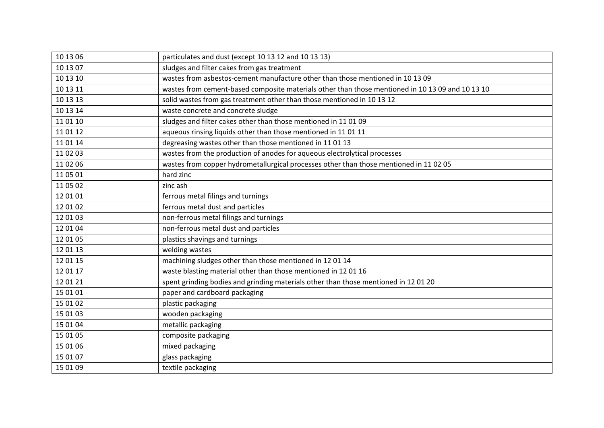| 10 13 06 | particulates and dust (except 10 13 12 and 10 13 13)                                             |
|----------|--------------------------------------------------------------------------------------------------|
| 10 13 07 | sludges and filter cakes from gas treatment                                                      |
| 10 13 10 | wastes from asbestos-cement manufacture other than those mentioned in 10 13 09                   |
| 10 13 11 | wastes from cement-based composite materials other than those mentioned in 10 13 09 and 10 13 10 |
| 10 13 13 | solid wastes from gas treatment other than those mentioned in 10 13 12                           |
| 10 13 14 | waste concrete and concrete sludge                                                               |
| 11 01 10 | sludges and filter cakes other than those mentioned in 11 01 09                                  |
| 11 01 12 | aqueous rinsing liquids other than those mentioned in 11 01 11                                   |
| 11 01 14 | degreasing wastes other than those mentioned in 11 01 13                                         |
| 11 02 03 | wastes from the production of anodes for aqueous electrolytical processes                        |
| 11 02 06 | wastes from copper hydrometallurgical processes other than those mentioned in 11 02 05           |
| 11 05 01 | hard zinc                                                                                        |
| 11 05 02 | zinc ash                                                                                         |
| 12 01 01 | ferrous metal filings and turnings                                                               |
| 12 01 02 | ferrous metal dust and particles                                                                 |
| 12 01 03 | non-ferrous metal filings and turnings                                                           |
| 12 01 04 | non-ferrous metal dust and particles                                                             |
| 12 01 05 | plastics shavings and turnings                                                                   |
| 12 01 13 | welding wastes                                                                                   |
| 12 01 15 | machining sludges other than those mentioned in 12 01 14                                         |
| 12 01 17 | waste blasting material other than those mentioned in 12 01 16                                   |
| 12 01 21 | spent grinding bodies and grinding materials other than those mentioned in 12 01 20              |
| 15 01 01 | paper and cardboard packaging                                                                    |
| 15 01 02 | plastic packaging                                                                                |
| 15 01 03 | wooden packaging                                                                                 |
| 15 01 04 | metallic packaging                                                                               |
| 15 01 05 | composite packaging                                                                              |
| 15 01 06 | mixed packaging                                                                                  |
| 15 01 07 | glass packaging                                                                                  |
| 15 01 09 | textile packaging                                                                                |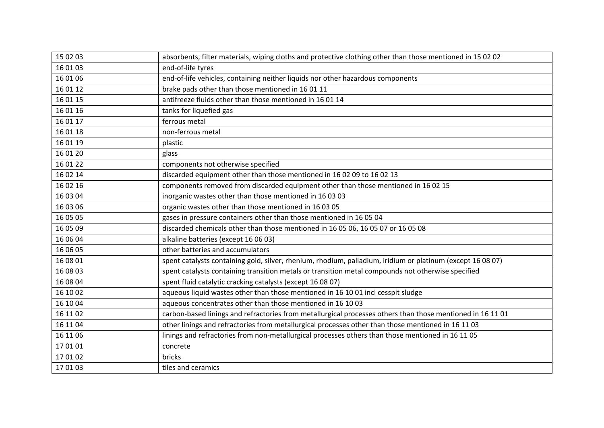| 15 02 03 | absorbents, filter materials, wiping cloths and protective clothing other than those mentioned in 15 02 02  |
|----------|-------------------------------------------------------------------------------------------------------------|
| 16 01 03 | end-of-life tyres                                                                                           |
| 16 01 06 | end-of-life vehicles, containing neither liquids nor other hazardous components                             |
| 16 01 12 | brake pads other than those mentioned in 16 01 11                                                           |
| 16 01 15 | antifreeze fluids other than those mentioned in 16 01 14                                                    |
| 16 01 16 | tanks for liquefied gas                                                                                     |
| 16 01 17 | ferrous metal                                                                                               |
| 16 01 18 | non-ferrous metal                                                                                           |
| 16 01 19 | plastic                                                                                                     |
| 16 01 20 | glass                                                                                                       |
| 16 01 22 | components not otherwise specified                                                                          |
| 16 02 14 | discarded equipment other than those mentioned in 16 02 09 to 16 02 13                                      |
| 16 02 16 | components removed from discarded equipment other than those mentioned in 16 02 15                          |
| 16 03 04 | inorganic wastes other than those mentioned in 16 03 03                                                     |
| 16 03 06 | organic wastes other than those mentioned in 16 03 05                                                       |
| 16 05 05 | gases in pressure containers other than those mentioned in 16 05 04                                         |
| 16 05 09 | discarded chemicals other than those mentioned in 16 05 06, 16 05 07 or 16 05 08                            |
| 16 06 04 | alkaline batteries (except 16 06 03)                                                                        |
| 16 06 05 | other batteries and accumulators                                                                            |
| 16 08 01 | spent catalysts containing gold, silver, rhenium, rhodium, palladium, iridium or platinum (except 16 08 07) |
| 16 08 03 | spent catalysts containing transition metals or transition metal compounds not otherwise specified          |
| 16 08 04 | spent fluid catalytic cracking catalysts (except 16 08 07)                                                  |
| 16 10 02 | aqueous liquid wastes other than those mentioned in 16 10 01 incl cesspit sludge                            |
| 16 10 04 | aqueous concentrates other than those mentioned in 16 10 03                                                 |
| 16 11 02 | carbon-based linings and refractories from metallurgical processes others than those mentioned in 16 11 01  |
| 16 11 04 | other linings and refractories from metallurgical processes other than those mentioned in 16 11 03          |
| 16 11 06 | linings and refractories from non-metallurgical processes others than those mentioned in 16 11 05           |
| 170101   | concrete                                                                                                    |
| 17 01 02 | bricks                                                                                                      |
| 170103   | tiles and ceramics                                                                                          |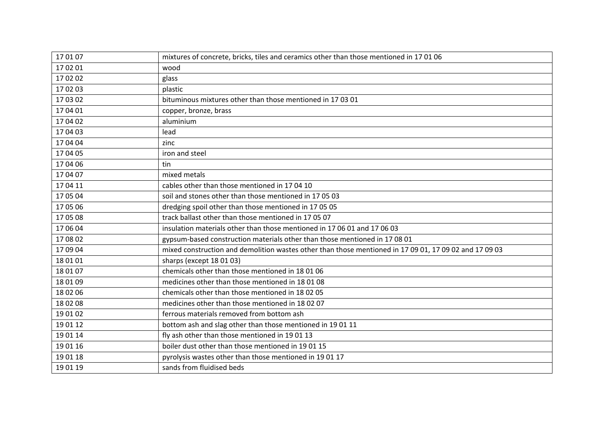| 170107   | mixtures of concrete, bricks, tiles and ceramics other than those mentioned in 17 01 06                |
|----------|--------------------------------------------------------------------------------------------------------|
| 17 02 01 | wood                                                                                                   |
| 17 02 02 | glass                                                                                                  |
| 17 02 03 | plastic                                                                                                |
| 17 03 02 | bituminous mixtures other than those mentioned in 17 03 01                                             |
| 17 04 01 | copper, bronze, brass                                                                                  |
| 17 04 02 | aluminium                                                                                              |
| 17 04 03 | lead                                                                                                   |
| 17 04 04 | zinc                                                                                                   |
| 17 04 05 | iron and steel                                                                                         |
| 17 04 06 | tin                                                                                                    |
| 17 04 07 | mixed metals                                                                                           |
| 17 04 11 | cables other than those mentioned in 17 04 10                                                          |
| 17 05 04 | soil and stones other than those mentioned in 17 05 03                                                 |
| 17 05 06 | dredging spoil other than those mentioned in 17 05 05                                                  |
| 17 05 08 | track ballast other than those mentioned in 17 05 07                                                   |
| 17 06 04 | insulation materials other than those mentioned in 17 06 01 and 17 06 03                               |
| 17 08 02 | gypsum-based construction materials other than those mentioned in 17 08 01                             |
| 17 09 04 | mixed construction and demolition wastes other than those mentioned in 17 09 01, 17 09 02 and 17 09 03 |
| 18 01 01 | sharps (except 18 01 03)                                                                               |
| 18 01 07 | chemicals other than those mentioned in 18 01 06                                                       |
| 18 01 09 | medicines other than those mentioned in 18 01 08                                                       |
| 18 02 06 | chemicals other than those mentioned in 180205                                                         |
| 18 02 08 | medicines other than those mentioned in 18 02 07                                                       |
| 19 01 02 | ferrous materials removed from bottom ash                                                              |
| 19 01 12 | bottom ash and slag other than those mentioned in 19 01 11                                             |
| 19 01 14 | fly ash other than those mentioned in 190113                                                           |
| 19 01 16 | boiler dust other than those mentioned in 19 01 15                                                     |
| 19 01 18 | pyrolysis wastes other than those mentioned in 19 01 17                                                |
| 19 01 19 | sands from fluidised beds                                                                              |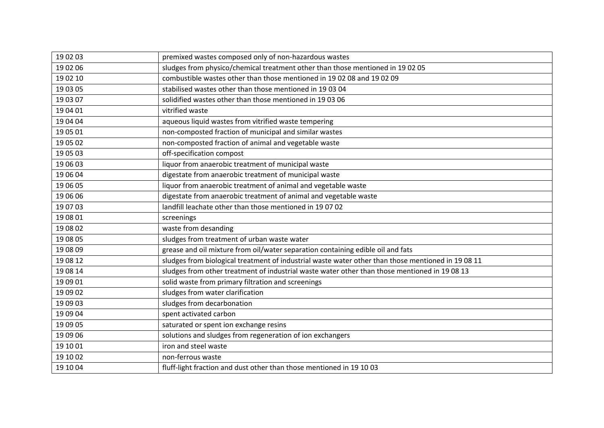| 19 02 03 | premixed wastes composed only of non-hazardous wastes                                              |
|----------|----------------------------------------------------------------------------------------------------|
| 19 02 06 | sludges from physico/chemical treatment other than those mentioned in 19 02 05                     |
| 19 02 10 | combustible wastes other than those mentioned in 1902 08 and 1902 09                               |
| 19 03 05 | stabilised wastes other than those mentioned in 19 03 04                                           |
| 19 03 07 | solidified wastes other than those mentioned in 19 03 06                                           |
| 19 04 01 | vitrified waste                                                                                    |
| 19 04 04 | aqueous liquid wastes from vitrified waste tempering                                               |
| 19 05 01 | non-composted fraction of municipal and similar wastes                                             |
| 19 05 02 | non-composted fraction of animal and vegetable waste                                               |
| 19 05 03 | off-specification compost                                                                          |
| 19 06 03 | liquor from anaerobic treatment of municipal waste                                                 |
| 19 06 04 | digestate from anaerobic treatment of municipal waste                                              |
| 19 06 05 | liquor from anaerobic treatment of animal and vegetable waste                                      |
| 19 06 06 | digestate from anaerobic treatment of animal and vegetable waste                                   |
| 19 07 03 | landfill leachate other than those mentioned in 19 07 02                                           |
|          |                                                                                                    |
| 19 08 01 | screenings                                                                                         |
| 19 08 02 | waste from desanding                                                                               |
| 19 08 05 | sludges from treatment of urban waste water                                                        |
| 19 08 09 | grease and oil mixture from oil/water separation containing edible oil and fats                    |
| 19 08 12 | sludges from biological treatment of industrial waste water other than those mentioned in 19 08 11 |
| 19 08 14 | sludges from other treatment of industrial waste water other than those mentioned in 19 08 13      |
| 19 09 01 | solid waste from primary filtration and screenings                                                 |
| 19 09 02 | sludges from water clarification                                                                   |
| 19 09 03 | sludges from decarbonation                                                                         |
| 19 09 04 | spent activated carbon                                                                             |
| 19 09 05 | saturated or spent ion exchange resins                                                             |
| 19 09 06 | solutions and sludges from regeneration of ion exchangers                                          |
| 19 10 01 | iron and steel waste                                                                               |
| 19 10 02 | non-ferrous waste                                                                                  |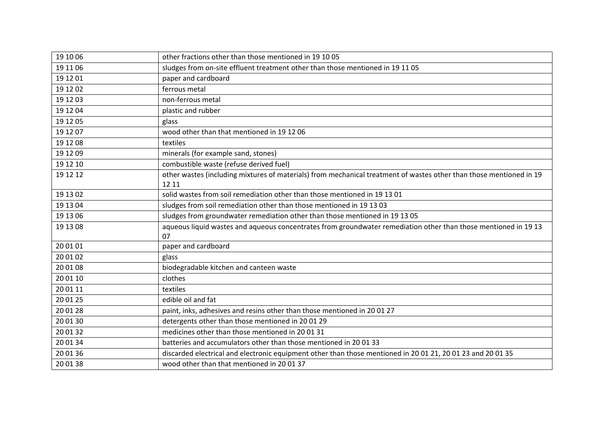| 19 10 06 | other fractions other than those mentioned in 19 10 05                                                              |
|----------|---------------------------------------------------------------------------------------------------------------------|
| 19 11 06 | sludges from on-site effluent treatment other than those mentioned in 19 11 05                                      |
| 19 12 01 | paper and cardboard                                                                                                 |
| 19 12 02 | ferrous metal                                                                                                       |
| 19 12 03 | non-ferrous metal                                                                                                   |
| 19 12 04 | plastic and rubber                                                                                                  |
| 19 12 05 | glass                                                                                                               |
| 19 12 07 | wood other than that mentioned in 19 12 06                                                                          |
| 19 12 08 | textiles                                                                                                            |
| 19 12 09 | minerals (for example sand, stones)                                                                                 |
| 19 12 10 | combustible waste (refuse derived fuel)                                                                             |
| 19 12 12 | other wastes (including mixtures of materials) from mechanical treatment of wastes other than those mentioned in 19 |
|          | 12 11                                                                                                               |
| 19 13 02 | solid wastes from soil remediation other than those mentioned in 19 13 01                                           |
| 19 13 04 | sludges from soil remediation other than those mentioned in 19 13 03                                                |
| 19 13 06 | sludges from groundwater remediation other than those mentioned in 19 13 05                                         |
| 19 13 08 | aqueous liquid wastes and aqueous concentrates from groundwater remediation other than those mentioned in 1913      |
|          | 07                                                                                                                  |
| 20 01 01 | paper and cardboard                                                                                                 |
| 20 01 02 | glass                                                                                                               |
| 20 01 08 | biodegradable kitchen and canteen waste                                                                             |
| 20 01 10 | clothes                                                                                                             |
| 20 01 11 | textiles                                                                                                            |
| 20 01 25 | edible oil and fat                                                                                                  |
| 20 01 28 | paint, inks, adhesives and resins other than those mentioned in 20 01 27                                            |
| 20 01 30 | detergents other than those mentioned in 20 01 29                                                                   |
| 20 01 32 | medicines other than those mentioned in 20 01 31                                                                    |
| 20 01 34 | batteries and accumulators other than those mentioned in 20 01 33                                                   |
| 20 01 36 | discarded electrical and electronic equipment other than those mentioned in 20 01 21, 20 01 23 and 20 01 35         |
| 20 01 38 | wood other than that mentioned in 20 01 37                                                                          |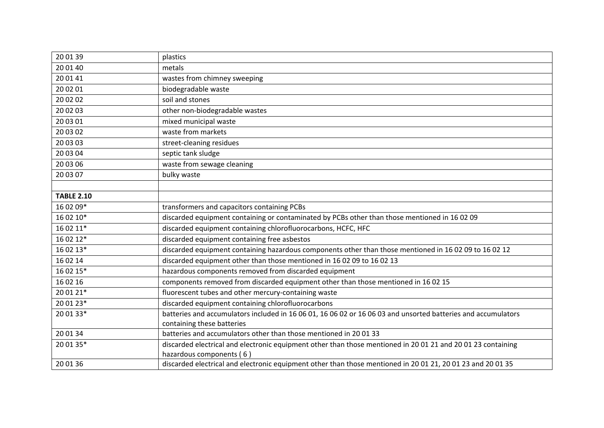| 20 01 39          | plastics                                                                                                                                 |
|-------------------|------------------------------------------------------------------------------------------------------------------------------------------|
| 20 01 40          | metals                                                                                                                                   |
| 20 01 41          | wastes from chimney sweeping                                                                                                             |
| 20 02 01          | biodegradable waste                                                                                                                      |
| 20 02 02          | soil and stones                                                                                                                          |
| 20 02 03          | other non-biodegradable wastes                                                                                                           |
| 20 03 01          | mixed municipal waste                                                                                                                    |
| 20 03 02          | waste from markets                                                                                                                       |
| 20 03 03          | street-cleaning residues                                                                                                                 |
| 20 03 04          | septic tank sludge                                                                                                                       |
| 20 03 06          | waste from sewage cleaning                                                                                                               |
| 20 03 07          | bulky waste                                                                                                                              |
|                   |                                                                                                                                          |
| <b>TABLE 2.10</b> |                                                                                                                                          |
| 16 02 09*         | transformers and capacitors containing PCBs                                                                                              |
| 16 02 10*         | discarded equipment containing or contaminated by PCBs other than those mentioned in 16 02 09                                            |
| 16 02 11*         | discarded equipment containing chlorofluorocarbons, HCFC, HFC                                                                            |
| 16 02 12*         | discarded equipment containing free asbestos                                                                                             |
| 16 02 13*         | discarded equipment containing hazardous components other than those mentioned in 16 02 09 to 16 02 12                                   |
| 16 02 14          | discarded equipment other than those mentioned in 16 02 09 to 16 02 13                                                                   |
| 16 02 15*         | hazardous components removed from discarded equipment                                                                                    |
| 16 02 16          | components removed from discarded equipment other than those mentioned in 16 02 15                                                       |
| 20 01 21*         | fluorescent tubes and other mercury-containing waste                                                                                     |
| 20 01 23*         | discarded equipment containing chlorofluorocarbons                                                                                       |
| 20 01 33*         | batteries and accumulators included in 16 06 01, 16 06 02 or 16 06 03 and unsorted batteries and accumulators                            |
|                   | containing these batteries                                                                                                               |
| 20 01 34          | batteries and accumulators other than those mentioned in 20 01 33                                                                        |
| 20 01 35*         | discarded electrical and electronic equipment other than those mentioned in 20 01 21 and 20 01 23 containing<br>hazardous components (6) |
| 20 01 36          | discarded electrical and electronic equipment other than those mentioned in 20 01 21, 20 01 23 and 20 01 35                              |